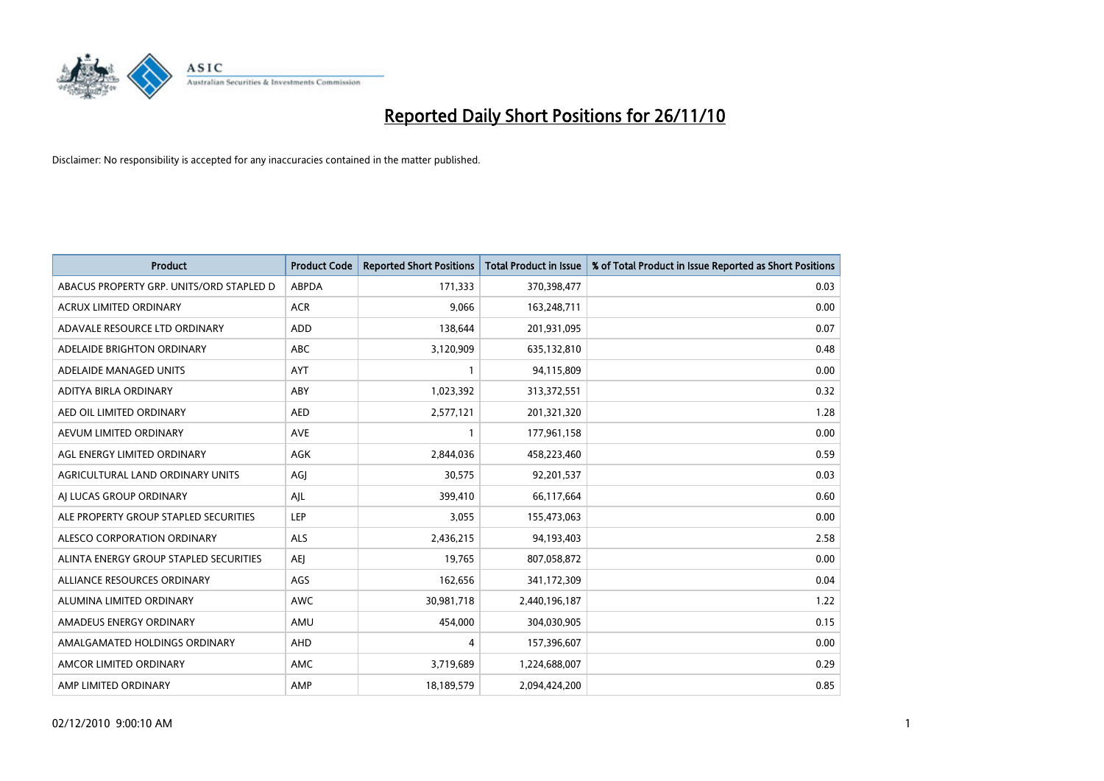

| <b>Product</b>                           | <b>Product Code</b> | <b>Reported Short Positions</b> | <b>Total Product in Issue</b> | % of Total Product in Issue Reported as Short Positions |
|------------------------------------------|---------------------|---------------------------------|-------------------------------|---------------------------------------------------------|
| ABACUS PROPERTY GRP. UNITS/ORD STAPLED D | <b>ABPDA</b>        | 171,333                         | 370,398,477                   | 0.03                                                    |
| ACRUX LIMITED ORDINARY                   | <b>ACR</b>          | 9,066                           | 163,248,711                   | 0.00                                                    |
| ADAVALE RESOURCE LTD ORDINARY            | ADD                 | 138,644                         | 201,931,095                   | 0.07                                                    |
| ADELAIDE BRIGHTON ORDINARY               | <b>ABC</b>          | 3,120,909                       | 635,132,810                   | 0.48                                                    |
| ADELAIDE MANAGED UNITS                   | <b>AYT</b>          |                                 | 94,115,809                    | 0.00                                                    |
| ADITYA BIRLA ORDINARY                    | ABY                 | 1,023,392                       | 313,372,551                   | 0.32                                                    |
| AED OIL LIMITED ORDINARY                 | <b>AED</b>          | 2,577,121                       | 201,321,320                   | 1.28                                                    |
| AEVUM LIMITED ORDINARY                   | <b>AVE</b>          |                                 | 177,961,158                   | 0.00                                                    |
| AGL ENERGY LIMITED ORDINARY              | <b>AGK</b>          | 2,844,036                       | 458,223,460                   | 0.59                                                    |
| AGRICULTURAL LAND ORDINARY UNITS         | AGI                 | 30,575                          | 92,201,537                    | 0.03                                                    |
| AI LUCAS GROUP ORDINARY                  | AJL                 | 399,410                         | 66,117,664                    | 0.60                                                    |
| ALE PROPERTY GROUP STAPLED SECURITIES    | <b>LEP</b>          | 3,055                           | 155,473,063                   | 0.00                                                    |
| ALESCO CORPORATION ORDINARY              | ALS                 | 2,436,215                       | 94,193,403                    | 2.58                                                    |
| ALINTA ENERGY GROUP STAPLED SECURITIES   | <b>AEI</b>          | 19,765                          | 807,058,872                   | 0.00                                                    |
| ALLIANCE RESOURCES ORDINARY              | AGS                 | 162,656                         | 341,172,309                   | 0.04                                                    |
| ALUMINA LIMITED ORDINARY                 | <b>AWC</b>          | 30,981,718                      | 2,440,196,187                 | 1.22                                                    |
| AMADEUS ENERGY ORDINARY                  | AMU                 | 454,000                         | 304,030,905                   | 0.15                                                    |
| AMALGAMATED HOLDINGS ORDINARY            | <b>AHD</b>          | 4                               | 157,396,607                   | 0.00                                                    |
| AMCOR LIMITED ORDINARY                   | AMC                 | 3,719,689                       | 1,224,688,007                 | 0.29                                                    |
| AMP LIMITED ORDINARY                     | AMP                 | 18,189,579                      | 2,094,424,200                 | 0.85                                                    |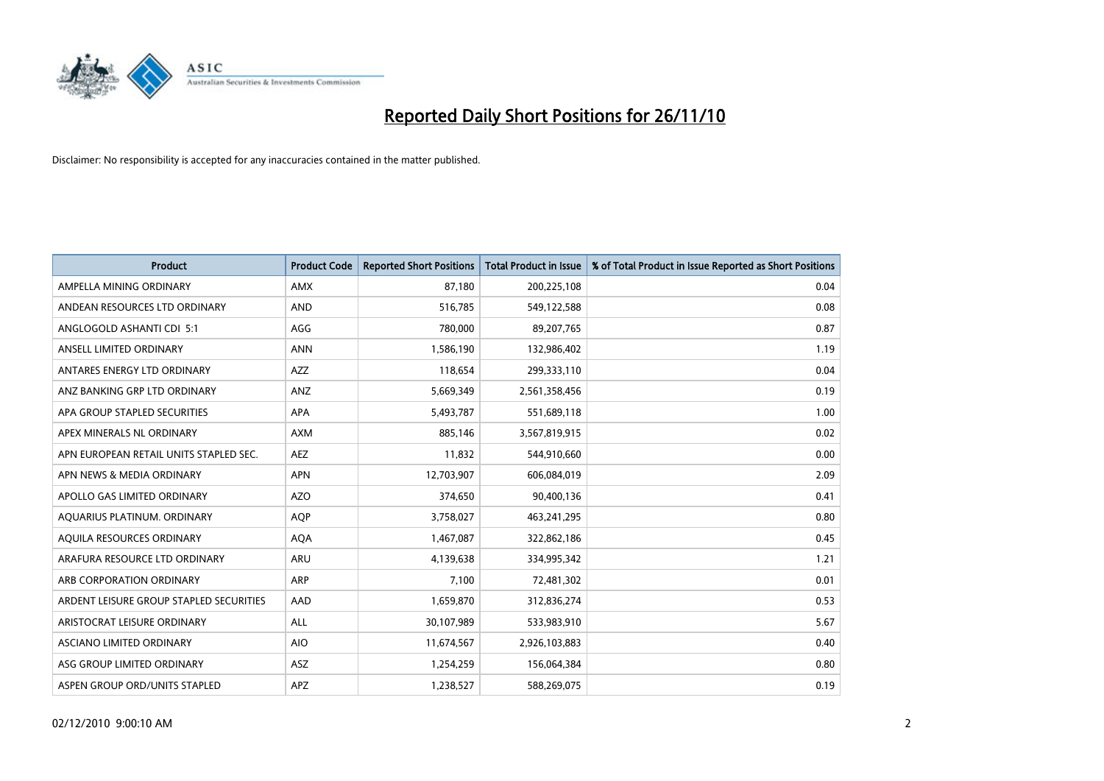

| <b>Product</b>                          | <b>Product Code</b> | <b>Reported Short Positions</b> | Total Product in Issue | % of Total Product in Issue Reported as Short Positions |
|-----------------------------------------|---------------------|---------------------------------|------------------------|---------------------------------------------------------|
| AMPELLA MINING ORDINARY                 | <b>AMX</b>          | 87,180                          | 200,225,108            | 0.04                                                    |
| ANDEAN RESOURCES LTD ORDINARY           | <b>AND</b>          | 516,785                         | 549,122,588            | 0.08                                                    |
| ANGLOGOLD ASHANTI CDI 5:1               | AGG                 | 780,000                         | 89,207,765             | 0.87                                                    |
| ANSELL LIMITED ORDINARY                 | <b>ANN</b>          | 1,586,190                       | 132,986,402            | 1.19                                                    |
| ANTARES ENERGY LTD ORDINARY             | <b>AZZ</b>          | 118,654                         | 299,333,110            | 0.04                                                    |
| ANZ BANKING GRP LTD ORDINARY            | ANZ                 | 5,669,349                       | 2,561,358,456          | 0.19                                                    |
| APA GROUP STAPLED SECURITIES            | <b>APA</b>          | 5,493,787                       | 551,689,118            | 1.00                                                    |
| APEX MINERALS NL ORDINARY               | <b>AXM</b>          | 885,146                         | 3,567,819,915          | 0.02                                                    |
| APN EUROPEAN RETAIL UNITS STAPLED SEC.  | <b>AEZ</b>          | 11,832                          | 544,910,660            | 0.00                                                    |
| APN NEWS & MEDIA ORDINARY               | <b>APN</b>          | 12,703,907                      | 606,084,019            | 2.09                                                    |
| APOLLO GAS LIMITED ORDINARY             | <b>AZO</b>          | 374,650                         | 90,400,136             | 0.41                                                    |
| AQUARIUS PLATINUM. ORDINARY             | <b>AOP</b>          | 3,758,027                       | 463,241,295            | 0.80                                                    |
| AQUILA RESOURCES ORDINARY               | <b>AQA</b>          | 1,467,087                       | 322,862,186            | 0.45                                                    |
| ARAFURA RESOURCE LTD ORDINARY           | <b>ARU</b>          | 4,139,638                       | 334,995,342            | 1.21                                                    |
| ARB CORPORATION ORDINARY                | <b>ARP</b>          | 7,100                           | 72,481,302             | 0.01                                                    |
| ARDENT LEISURE GROUP STAPLED SECURITIES | AAD                 | 1,659,870                       | 312,836,274            | 0.53                                                    |
| ARISTOCRAT LEISURE ORDINARY             | <b>ALL</b>          | 30,107,989                      | 533,983,910            | 5.67                                                    |
| ASCIANO LIMITED ORDINARY                | <b>AIO</b>          | 11,674,567                      | 2,926,103,883          | 0.40                                                    |
| ASG GROUP LIMITED ORDINARY              | <b>ASZ</b>          | 1,254,259                       | 156,064,384            | 0.80                                                    |
| ASPEN GROUP ORD/UNITS STAPLED           | <b>APZ</b>          | 1,238,527                       | 588,269,075            | 0.19                                                    |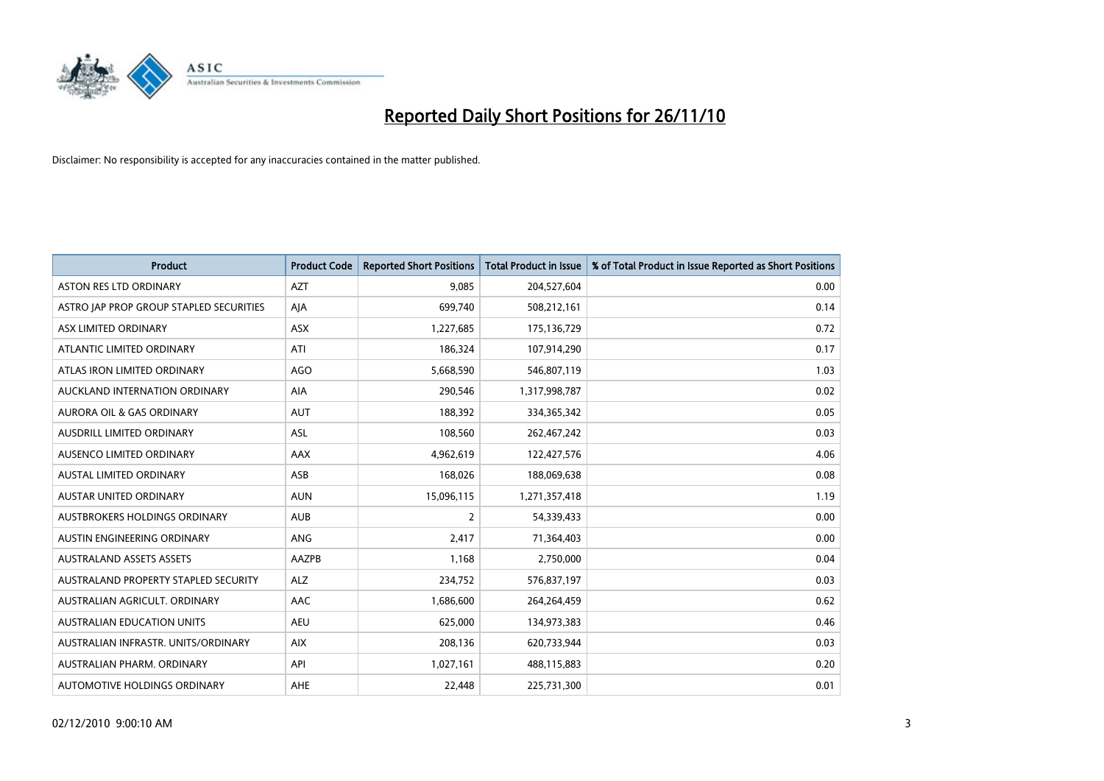

| <b>Product</b>                          | <b>Product Code</b> | <b>Reported Short Positions</b> | <b>Total Product in Issue</b> | % of Total Product in Issue Reported as Short Positions |
|-----------------------------------------|---------------------|---------------------------------|-------------------------------|---------------------------------------------------------|
| <b>ASTON RES LTD ORDINARY</b>           | <b>AZT</b>          | 9,085                           | 204,527,604                   | 0.00                                                    |
| ASTRO JAP PROP GROUP STAPLED SECURITIES | AJA                 | 699,740                         | 508,212,161                   | 0.14                                                    |
| ASX LIMITED ORDINARY                    | <b>ASX</b>          | 1,227,685                       | 175,136,729                   | 0.72                                                    |
| ATLANTIC LIMITED ORDINARY               | ATI                 | 186,324                         | 107,914,290                   | 0.17                                                    |
| ATLAS IRON LIMITED ORDINARY             | <b>AGO</b>          | 5,668,590                       | 546,807,119                   | 1.03                                                    |
| AUCKLAND INTERNATION ORDINARY           | AIA                 | 290,546                         | 1,317,998,787                 | 0.02                                                    |
| <b>AURORA OIL &amp; GAS ORDINARY</b>    | <b>AUT</b>          | 188.392                         | 334,365,342                   | 0.05                                                    |
| AUSDRILL LIMITED ORDINARY               | <b>ASL</b>          | 108,560                         | 262,467,242                   | 0.03                                                    |
| AUSENCO LIMITED ORDINARY                | AAX                 | 4,962,619                       | 122,427,576                   | 4.06                                                    |
| <b>AUSTAL LIMITED ORDINARY</b>          | ASB                 | 168,026                         | 188,069,638                   | 0.08                                                    |
| <b>AUSTAR UNITED ORDINARY</b>           | <b>AUN</b>          | 15,096,115                      | 1,271,357,418                 | 1.19                                                    |
| AUSTBROKERS HOLDINGS ORDINARY           | <b>AUB</b>          | 2                               | 54,339,433                    | 0.00                                                    |
| AUSTIN ENGINEERING ORDINARY             | ANG                 | 2.417                           | 71,364,403                    | 0.00                                                    |
| <b>AUSTRALAND ASSETS ASSETS</b>         | <b>AAZPB</b>        | 1,168                           | 2,750,000                     | 0.04                                                    |
| AUSTRALAND PROPERTY STAPLED SECURITY    | <b>ALZ</b>          | 234,752                         | 576,837,197                   | 0.03                                                    |
| AUSTRALIAN AGRICULT, ORDINARY           | AAC                 | 1,686,600                       | 264,264,459                   | 0.62                                                    |
| <b>AUSTRALIAN EDUCATION UNITS</b>       | <b>AEU</b>          | 625,000                         | 134,973,383                   | 0.46                                                    |
| AUSTRALIAN INFRASTR. UNITS/ORDINARY     | <b>AIX</b>          | 208,136                         | 620,733,944                   | 0.03                                                    |
| AUSTRALIAN PHARM, ORDINARY              | API                 | 1,027,161                       | 488,115,883                   | 0.20                                                    |
| AUTOMOTIVE HOLDINGS ORDINARY            | AHE                 | 22.448                          | 225,731,300                   | 0.01                                                    |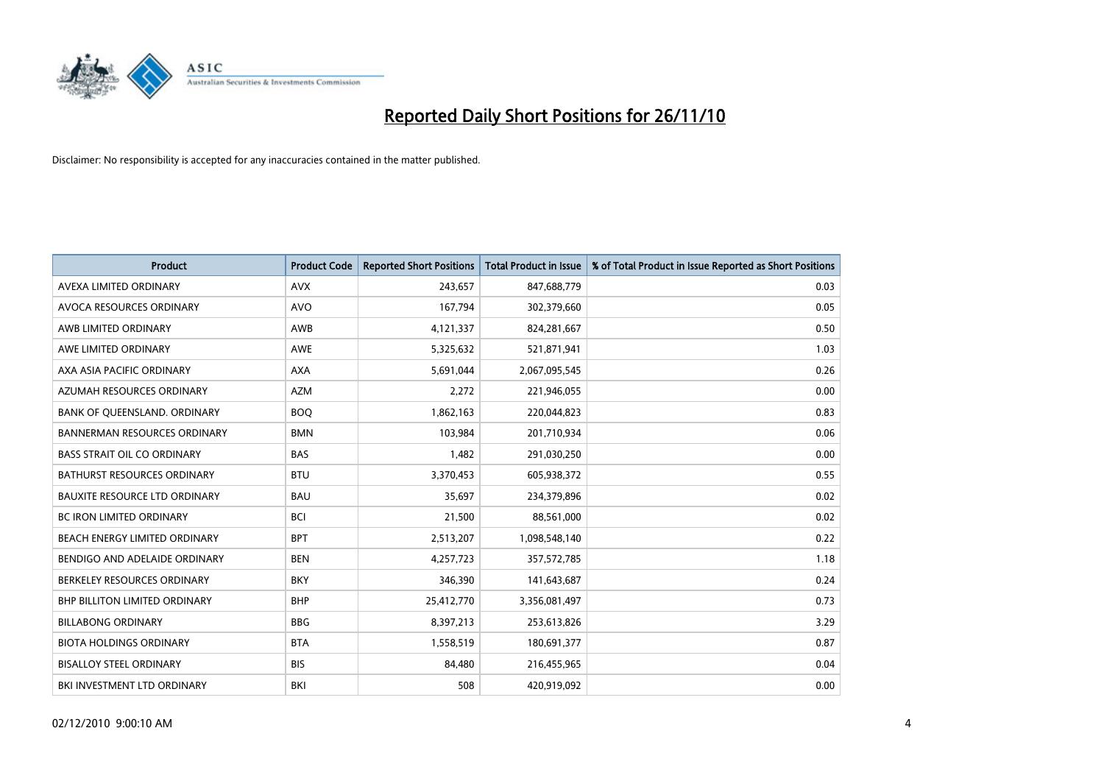

| <b>Product</b>                       | <b>Product Code</b> | <b>Reported Short Positions</b> | <b>Total Product in Issue</b> | % of Total Product in Issue Reported as Short Positions |
|--------------------------------------|---------------------|---------------------------------|-------------------------------|---------------------------------------------------------|
| AVEXA LIMITED ORDINARY               | <b>AVX</b>          | 243,657                         | 847,688,779                   | 0.03                                                    |
| AVOCA RESOURCES ORDINARY             | <b>AVO</b>          | 167,794                         | 302,379,660                   | 0.05                                                    |
| AWB LIMITED ORDINARY                 | <b>AWB</b>          | 4,121,337                       | 824,281,667                   | 0.50                                                    |
| AWE LIMITED ORDINARY                 | <b>AWE</b>          | 5,325,632                       | 521,871,941                   | 1.03                                                    |
| AXA ASIA PACIFIC ORDINARY            | <b>AXA</b>          | 5,691,044                       | 2,067,095,545                 | 0.26                                                    |
| AZUMAH RESOURCES ORDINARY            | <b>AZM</b>          | 2,272                           | 221,946,055                   | 0.00                                                    |
| BANK OF QUEENSLAND. ORDINARY         | <b>BOQ</b>          | 1,862,163                       | 220,044,823                   | 0.83                                                    |
| <b>BANNERMAN RESOURCES ORDINARY</b>  | <b>BMN</b>          | 103,984                         | 201,710,934                   | 0.06                                                    |
| <b>BASS STRAIT OIL CO ORDINARY</b>   | <b>BAS</b>          | 1,482                           | 291,030,250                   | 0.00                                                    |
| <b>BATHURST RESOURCES ORDINARY</b>   | <b>BTU</b>          | 3,370,453                       | 605,938,372                   | 0.55                                                    |
| <b>BAUXITE RESOURCE LTD ORDINARY</b> | <b>BAU</b>          | 35,697                          | 234,379,896                   | 0.02                                                    |
| <b>BC IRON LIMITED ORDINARY</b>      | <b>BCI</b>          | 21,500                          | 88,561,000                    | 0.02                                                    |
| <b>BEACH ENERGY LIMITED ORDINARY</b> | <b>BPT</b>          | 2,513,207                       | 1,098,548,140                 | 0.22                                                    |
| BENDIGO AND ADELAIDE ORDINARY        | <b>BEN</b>          | 4,257,723                       | 357,572,785                   | 1.18                                                    |
| BERKELEY RESOURCES ORDINARY          | <b>BKY</b>          | 346,390                         | 141,643,687                   | 0.24                                                    |
| BHP BILLITON LIMITED ORDINARY        | <b>BHP</b>          | 25,412,770                      | 3,356,081,497                 | 0.73                                                    |
| <b>BILLABONG ORDINARY</b>            | <b>BBG</b>          | 8,397,213                       | 253,613,826                   | 3.29                                                    |
| <b>BIOTA HOLDINGS ORDINARY</b>       | <b>BTA</b>          | 1,558,519                       | 180,691,377                   | 0.87                                                    |
| <b>BISALLOY STEEL ORDINARY</b>       | <b>BIS</b>          | 84,480                          | 216,455,965                   | 0.04                                                    |
| BKI INVESTMENT LTD ORDINARY          | BKI                 | 508                             | 420,919,092                   | 0.00                                                    |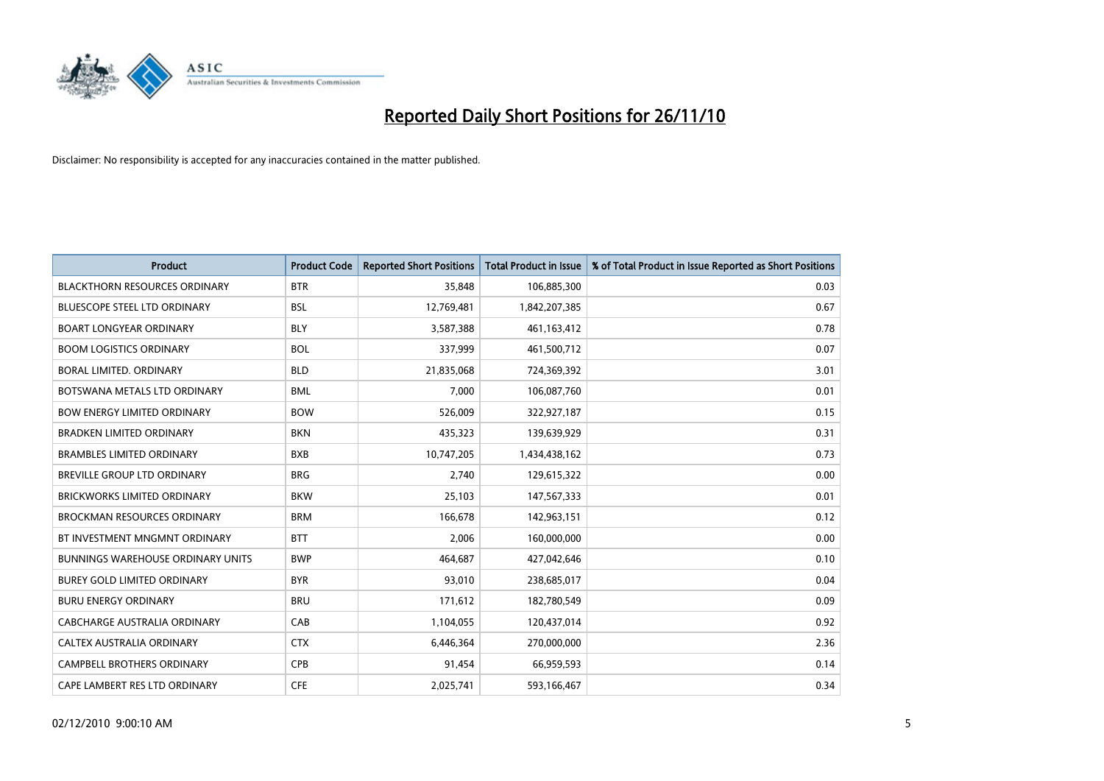

| <b>Product</b>                           | <b>Product Code</b> | <b>Reported Short Positions</b> | <b>Total Product in Issue</b> | % of Total Product in Issue Reported as Short Positions |
|------------------------------------------|---------------------|---------------------------------|-------------------------------|---------------------------------------------------------|
| <b>BLACKTHORN RESOURCES ORDINARY</b>     | <b>BTR</b>          | 35,848                          | 106,885,300                   | 0.03                                                    |
| <b>BLUESCOPE STEEL LTD ORDINARY</b>      | <b>BSL</b>          | 12,769,481                      | 1,842,207,385                 | 0.67                                                    |
| <b>BOART LONGYEAR ORDINARY</b>           | <b>BLY</b>          | 3,587,388                       | 461,163,412                   | 0.78                                                    |
| <b>BOOM LOGISTICS ORDINARY</b>           | <b>BOL</b>          | 337,999                         | 461,500,712                   | 0.07                                                    |
| <b>BORAL LIMITED, ORDINARY</b>           | <b>BLD</b>          | 21,835,068                      | 724,369,392                   | 3.01                                                    |
| BOTSWANA METALS LTD ORDINARY             | <b>BML</b>          | 7.000                           | 106,087,760                   | 0.01                                                    |
| <b>BOW ENERGY LIMITED ORDINARY</b>       | <b>BOW</b>          | 526,009                         | 322,927,187                   | 0.15                                                    |
| <b>BRADKEN LIMITED ORDINARY</b>          | <b>BKN</b>          | 435,323                         | 139,639,929                   | 0.31                                                    |
| <b>BRAMBLES LIMITED ORDINARY</b>         | <b>BXB</b>          | 10,747,205                      | 1,434,438,162                 | 0.73                                                    |
| <b>BREVILLE GROUP LTD ORDINARY</b>       | <b>BRG</b>          | 2.740                           | 129,615,322                   | 0.00                                                    |
| <b>BRICKWORKS LIMITED ORDINARY</b>       | <b>BKW</b>          | 25,103                          | 147,567,333                   | 0.01                                                    |
| BROCKMAN RESOURCES ORDINARY              | <b>BRM</b>          | 166,678                         | 142,963,151                   | 0.12                                                    |
| BT INVESTMENT MNGMNT ORDINARY            | <b>BTT</b>          | 2,006                           | 160,000,000                   | 0.00                                                    |
| <b>BUNNINGS WAREHOUSE ORDINARY UNITS</b> | <b>BWP</b>          | 464,687                         | 427,042,646                   | 0.10                                                    |
| <b>BUREY GOLD LIMITED ORDINARY</b>       | <b>BYR</b>          | 93,010                          | 238,685,017                   | 0.04                                                    |
| <b>BURU ENERGY ORDINARY</b>              | <b>BRU</b>          | 171,612                         | 182,780,549                   | 0.09                                                    |
| CABCHARGE AUSTRALIA ORDINARY             | CAB                 | 1,104,055                       | 120,437,014                   | 0.92                                                    |
| CALTEX AUSTRALIA ORDINARY                | <b>CTX</b>          | 6,446,364                       | 270,000,000                   | 2.36                                                    |
| <b>CAMPBELL BROTHERS ORDINARY</b>        | CPB                 | 91,454                          | 66,959,593                    | 0.14                                                    |
| CAPE LAMBERT RES LTD ORDINARY            | <b>CFE</b>          | 2.025.741                       | 593,166,467                   | 0.34                                                    |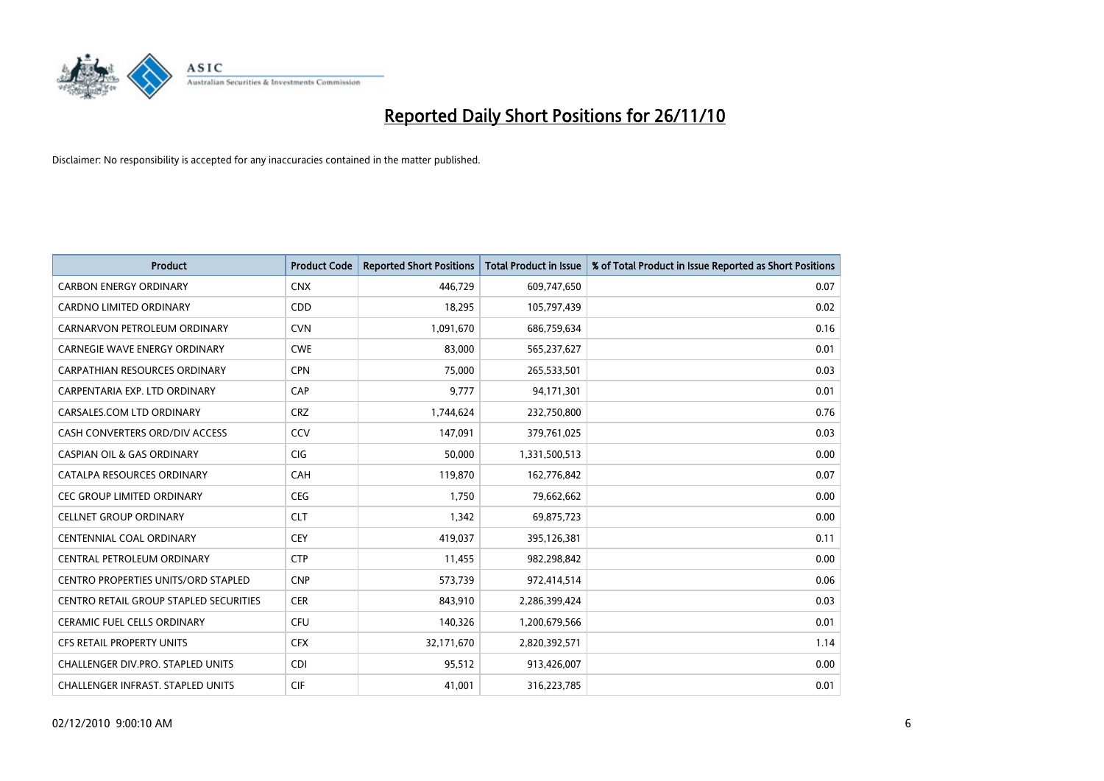

| <b>Product</b>                             | <b>Product Code</b> | <b>Reported Short Positions</b> | Total Product in Issue | % of Total Product in Issue Reported as Short Positions |
|--------------------------------------------|---------------------|---------------------------------|------------------------|---------------------------------------------------------|
| <b>CARBON ENERGY ORDINARY</b>              | <b>CNX</b>          | 446,729                         | 609,747,650            | 0.07                                                    |
| CARDNO LIMITED ORDINARY                    | CDD                 | 18,295                          | 105,797,439            | 0.02                                                    |
| CARNARVON PETROLEUM ORDINARY               | <b>CVN</b>          | 1,091,670                       | 686,759,634            | 0.16                                                    |
| CARNEGIE WAVE ENERGY ORDINARY              | <b>CWE</b>          | 83,000                          | 565,237,627            | 0.01                                                    |
| <b>CARPATHIAN RESOURCES ORDINARY</b>       | <b>CPN</b>          | 75,000                          | 265,533,501            | 0.03                                                    |
| CARPENTARIA EXP. LTD ORDINARY              | CAP                 | 9,777                           | 94,171,301             | 0.01                                                    |
| CARSALES.COM LTD ORDINARY                  | <b>CRZ</b>          | 1,744,624                       | 232,750,800            | 0.76                                                    |
| CASH CONVERTERS ORD/DIV ACCESS             | CCV                 | 147,091                         | 379,761,025            | 0.03                                                    |
| <b>CASPIAN OIL &amp; GAS ORDINARY</b>      | CIG                 | 50,000                          | 1,331,500,513          | 0.00                                                    |
| CATALPA RESOURCES ORDINARY                 | <b>CAH</b>          | 119,870                         | 162,776,842            | 0.07                                                    |
| CEC GROUP LIMITED ORDINARY                 | <b>CEG</b>          | 1,750                           | 79,662,662             | 0.00                                                    |
| <b>CELLNET GROUP ORDINARY</b>              | <b>CLT</b>          | 1,342                           | 69,875,723             | 0.00                                                    |
| CENTENNIAL COAL ORDINARY                   | CEY                 | 419,037                         | 395,126,381            | 0.11                                                    |
| CENTRAL PETROLEUM ORDINARY                 | <b>CTP</b>          | 11,455                          | 982,298,842            | 0.00                                                    |
| <b>CENTRO PROPERTIES UNITS/ORD STAPLED</b> | <b>CNP</b>          | 573,739                         | 972,414,514            | 0.06                                                    |
| CENTRO RETAIL GROUP STAPLED SECURITIES     | <b>CER</b>          | 843,910                         | 2,286,399,424          | 0.03                                                    |
| <b>CERAMIC FUEL CELLS ORDINARY</b>         | <b>CFU</b>          | 140,326                         | 1,200,679,566          | 0.01                                                    |
| <b>CFS RETAIL PROPERTY UNITS</b>           | <b>CFX</b>          | 32,171,670                      | 2,820,392,571          | 1.14                                                    |
| CHALLENGER DIV.PRO. STAPLED UNITS          | <b>CDI</b>          | 95,512                          | 913,426,007            | 0.00                                                    |
| <b>CHALLENGER INFRAST, STAPLED UNITS</b>   | <b>CIF</b>          | 41,001                          | 316,223,785            | 0.01                                                    |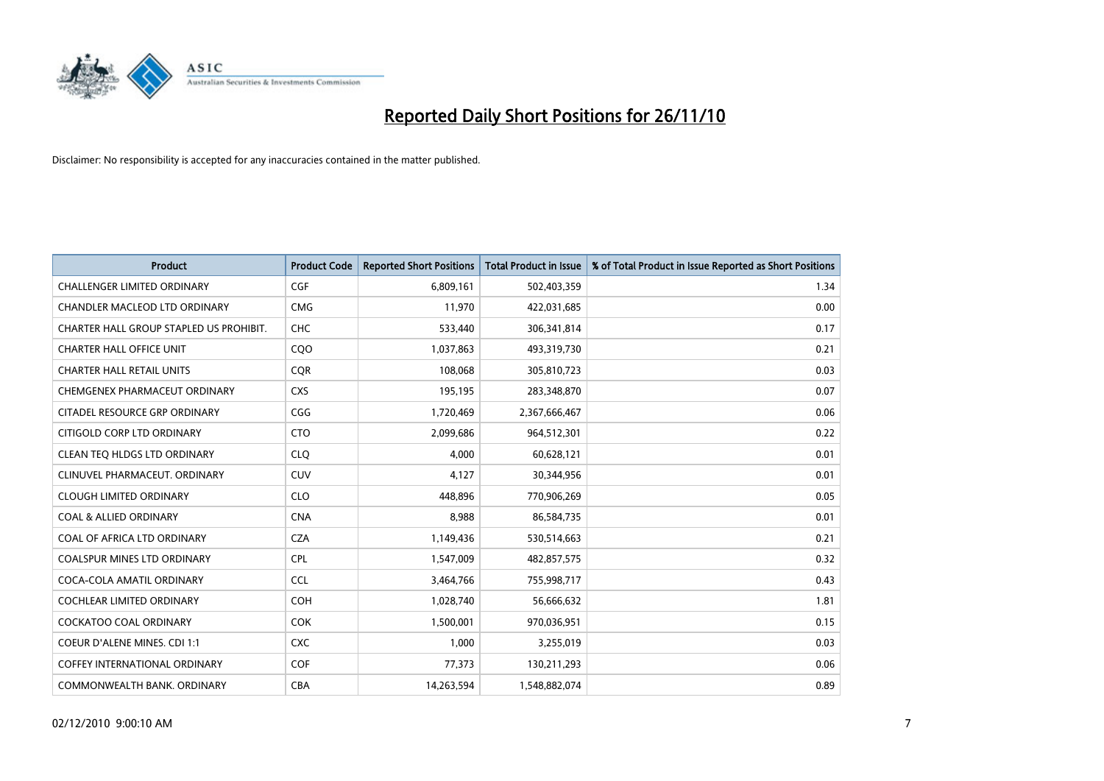

| <b>Product</b>                          | <b>Product Code</b> | <b>Reported Short Positions</b> | Total Product in Issue | % of Total Product in Issue Reported as Short Positions |
|-----------------------------------------|---------------------|---------------------------------|------------------------|---------------------------------------------------------|
| <b>CHALLENGER LIMITED ORDINARY</b>      | CGF                 | 6,809,161                       | 502,403,359            | 1.34                                                    |
| CHANDLER MACLEOD LTD ORDINARY           | <b>CMG</b>          | 11,970                          | 422,031,685            | 0.00                                                    |
| CHARTER HALL GROUP STAPLED US PROHIBIT. | CHC                 | 533,440                         | 306,341,814            | 0.17                                                    |
| <b>CHARTER HALL OFFICE UNIT</b>         | CQ <sub>O</sub>     | 1,037,863                       | 493,319,730            | 0.21                                                    |
| <b>CHARTER HALL RETAIL UNITS</b>        | <b>COR</b>          | 108,068                         | 305,810,723            | 0.03                                                    |
| CHEMGENEX PHARMACEUT ORDINARY           | <b>CXS</b>          | 195,195                         | 283,348,870            | 0.07                                                    |
| CITADEL RESOURCE GRP ORDINARY           | CGG                 | 1,720,469                       | 2,367,666,467          | 0.06                                                    |
| CITIGOLD CORP LTD ORDINARY              | <b>CTO</b>          | 2,099,686                       | 964,512,301            | 0.22                                                    |
| CLEAN TEO HLDGS LTD ORDINARY            | <b>CLO</b>          | 4,000                           | 60,628,121             | 0.01                                                    |
| CLINUVEL PHARMACEUT, ORDINARY           | <b>CUV</b>          | 4,127                           | 30,344,956             | 0.01                                                    |
| <b>CLOUGH LIMITED ORDINARY</b>          | <b>CLO</b>          | 448,896                         | 770,906,269            | 0.05                                                    |
| <b>COAL &amp; ALLIED ORDINARY</b>       | <b>CNA</b>          | 8,988                           | 86,584,735             | 0.01                                                    |
| COAL OF AFRICA LTD ORDINARY             | <b>CZA</b>          | 1,149,436                       | 530,514,663            | 0.21                                                    |
| <b>COALSPUR MINES LTD ORDINARY</b>      | <b>CPL</b>          | 1,547,009                       | 482,857,575            | 0.32                                                    |
| COCA-COLA AMATIL ORDINARY               | CCL                 | 3,464,766                       | 755,998,717            | 0.43                                                    |
| COCHLEAR LIMITED ORDINARY               | <b>COH</b>          | 1,028,740                       | 56,666,632             | 1.81                                                    |
| <b>COCKATOO COAL ORDINARY</b>           | <b>COK</b>          | 1,500,001                       | 970,036,951            | 0.15                                                    |
| COEUR D'ALENE MINES. CDI 1:1            | <b>CXC</b>          | 1,000                           | 3,255,019              | 0.03                                                    |
| <b>COFFEY INTERNATIONAL ORDINARY</b>    | COF                 | 77,373                          | 130,211,293            | 0.06                                                    |
| COMMONWEALTH BANK, ORDINARY             | <b>CBA</b>          | 14.263.594                      | 1,548,882,074          | 0.89                                                    |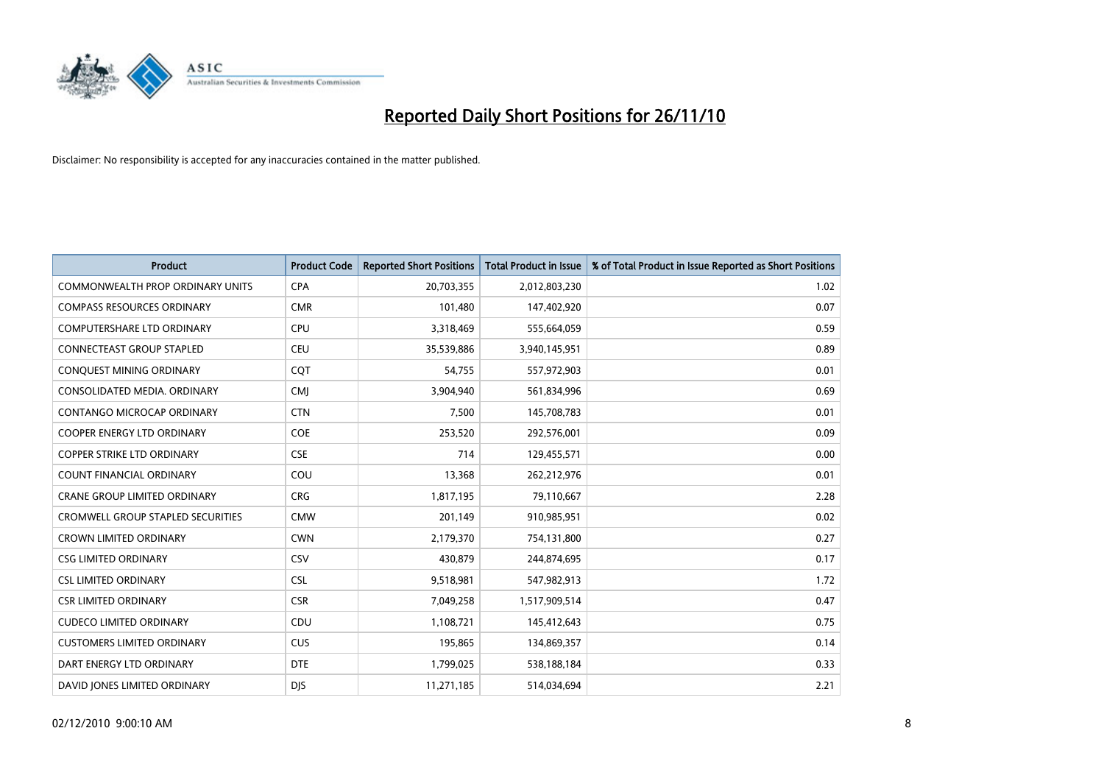

| <b>Product</b>                           | <b>Product Code</b> | <b>Reported Short Positions</b> | <b>Total Product in Issue</b> | % of Total Product in Issue Reported as Short Positions |
|------------------------------------------|---------------------|---------------------------------|-------------------------------|---------------------------------------------------------|
| <b>COMMONWEALTH PROP ORDINARY UNITS</b>  | <b>CPA</b>          | 20,703,355                      | 2,012,803,230                 | 1.02                                                    |
| <b>COMPASS RESOURCES ORDINARY</b>        | <b>CMR</b>          | 101,480                         | 147,402,920                   | 0.07                                                    |
| <b>COMPUTERSHARE LTD ORDINARY</b>        | <b>CPU</b>          | 3,318,469                       | 555,664,059                   | 0.59                                                    |
| <b>CONNECTEAST GROUP STAPLED</b>         | <b>CEU</b>          | 35,539,886                      | 3,940,145,951                 | 0.89                                                    |
| CONQUEST MINING ORDINARY                 | COT                 | 54,755                          | 557,972,903                   | 0.01                                                    |
| CONSOLIDATED MEDIA, ORDINARY             | <b>CMJ</b>          | 3,904,940                       | 561,834,996                   | 0.69                                                    |
| CONTANGO MICROCAP ORDINARY               | <b>CTN</b>          | 7,500                           | 145,708,783                   | 0.01                                                    |
| <b>COOPER ENERGY LTD ORDINARY</b>        | <b>COE</b>          | 253,520                         | 292,576,001                   | 0.09                                                    |
| COPPER STRIKE LTD ORDINARY               | <b>CSE</b>          | 714                             | 129,455,571                   | 0.00                                                    |
| <b>COUNT FINANCIAL ORDINARY</b>          | COU                 | 13,368                          | 262,212,976                   | 0.01                                                    |
| CRANE GROUP LIMITED ORDINARY             | <b>CRG</b>          | 1,817,195                       | 79,110,667                    | 2.28                                                    |
| <b>CROMWELL GROUP STAPLED SECURITIES</b> | <b>CMW</b>          | 201,149                         | 910,985,951                   | 0.02                                                    |
| <b>CROWN LIMITED ORDINARY</b>            | <b>CWN</b>          | 2,179,370                       | 754,131,800                   | 0.27                                                    |
| <b>CSG LIMITED ORDINARY</b>              | CSV                 | 430,879                         | 244,874,695                   | 0.17                                                    |
| <b>CSL LIMITED ORDINARY</b>              | <b>CSL</b>          | 9,518,981                       | 547,982,913                   | 1.72                                                    |
| <b>CSR LIMITED ORDINARY</b>              | <b>CSR</b>          | 7,049,258                       | 1,517,909,514                 | 0.47                                                    |
| <b>CUDECO LIMITED ORDINARY</b>           | CDU                 | 1,108,721                       | 145,412,643                   | 0.75                                                    |
| <b>CUSTOMERS LIMITED ORDINARY</b>        | CUS                 | 195,865                         | 134,869,357                   | 0.14                                                    |
| DART ENERGY LTD ORDINARY                 | <b>DTE</b>          | 1,799,025                       | 538,188,184                   | 0.33                                                    |
| DAVID JONES LIMITED ORDINARY             | <b>DIS</b>          | 11,271,185                      | 514,034,694                   | 2.21                                                    |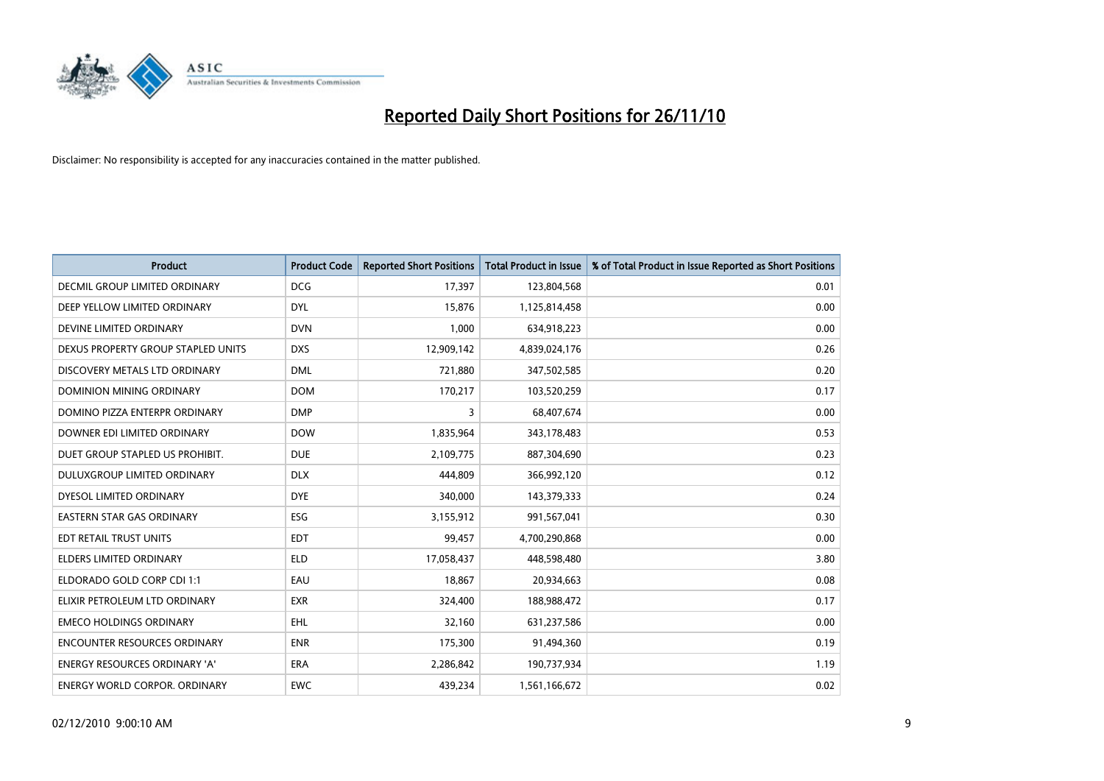

| <b>Product</b>                      | <b>Product Code</b> | <b>Reported Short Positions</b> | <b>Total Product in Issue</b> | % of Total Product in Issue Reported as Short Positions |
|-------------------------------------|---------------------|---------------------------------|-------------------------------|---------------------------------------------------------|
| DECMIL GROUP LIMITED ORDINARY       | <b>DCG</b>          | 17,397                          | 123,804,568                   | 0.01                                                    |
| DEEP YELLOW LIMITED ORDINARY        | <b>DYL</b>          | 15,876                          | 1,125,814,458                 | 0.00                                                    |
| DEVINE LIMITED ORDINARY             | <b>DVN</b>          | 1,000                           | 634,918,223                   | 0.00                                                    |
| DEXUS PROPERTY GROUP STAPLED UNITS  | <b>DXS</b>          | 12,909,142                      | 4,839,024,176                 | 0.26                                                    |
| DISCOVERY METALS LTD ORDINARY       | <b>DML</b>          | 721,880                         | 347,502,585                   | 0.20                                                    |
| <b>DOMINION MINING ORDINARY</b>     | <b>DOM</b>          | 170,217                         | 103,520,259                   | 0.17                                                    |
| DOMINO PIZZA ENTERPR ORDINARY       | <b>DMP</b>          | 3                               | 68,407,674                    | 0.00                                                    |
| DOWNER EDI LIMITED ORDINARY         | <b>DOW</b>          | 1,835,964                       | 343,178,483                   | 0.53                                                    |
| DUET GROUP STAPLED US PROHIBIT.     | <b>DUE</b>          | 2,109,775                       | 887,304,690                   | 0.23                                                    |
| DULUXGROUP LIMITED ORDINARY         | <b>DLX</b>          | 444.809                         | 366,992,120                   | 0.12                                                    |
| DYESOL LIMITED ORDINARY             | <b>DYE</b>          | 340,000                         | 143,379,333                   | 0.24                                                    |
| <b>EASTERN STAR GAS ORDINARY</b>    | ESG                 | 3,155,912                       | 991,567,041                   | 0.30                                                    |
| EDT RETAIL TRUST UNITS              | <b>EDT</b>          | 99,457                          | 4,700,290,868                 | 0.00                                                    |
| <b>ELDERS LIMITED ORDINARY</b>      | <b>ELD</b>          | 17,058,437                      | 448,598,480                   | 3.80                                                    |
| ELDORADO GOLD CORP CDI 1:1          | EAU                 | 18,867                          | 20,934,663                    | 0.08                                                    |
| ELIXIR PETROLEUM LTD ORDINARY       | <b>EXR</b>          | 324,400                         | 188,988,472                   | 0.17                                                    |
| <b>EMECO HOLDINGS ORDINARY</b>      | <b>EHL</b>          | 32,160                          | 631,237,586                   | 0.00                                                    |
| <b>ENCOUNTER RESOURCES ORDINARY</b> | <b>ENR</b>          | 175,300                         | 91,494,360                    | 0.19                                                    |
| ENERGY RESOURCES ORDINARY 'A'       | ERA                 | 2,286,842                       | 190,737,934                   | 1.19                                                    |
| ENERGY WORLD CORPOR. ORDINARY       | <b>EWC</b>          | 439,234                         | 1,561,166,672                 | 0.02                                                    |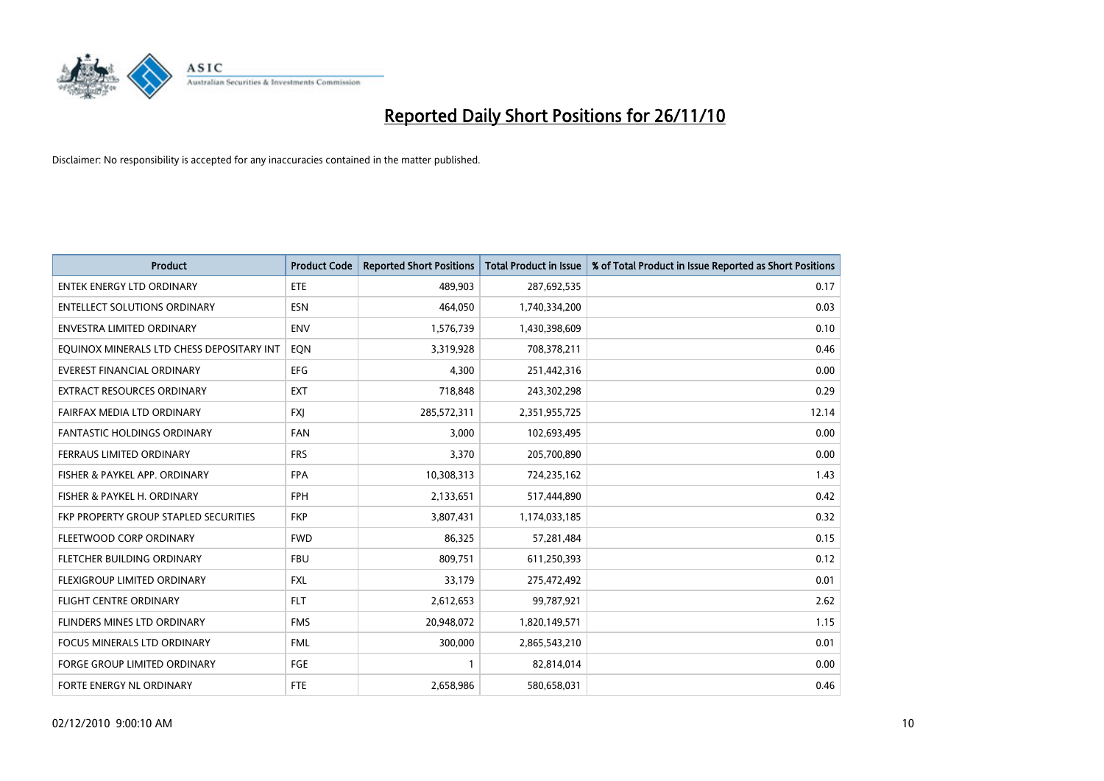

| <b>Product</b>                            | <b>Product Code</b> | <b>Reported Short Positions</b> | Total Product in Issue | % of Total Product in Issue Reported as Short Positions |
|-------------------------------------------|---------------------|---------------------------------|------------------------|---------------------------------------------------------|
| <b>ENTEK ENERGY LTD ORDINARY</b>          | <b>ETE</b>          | 489,903                         | 287,692,535            | 0.17                                                    |
| <b>ENTELLECT SOLUTIONS ORDINARY</b>       | <b>ESN</b>          | 464,050                         | 1,740,334,200          | 0.03                                                    |
| <b>ENVESTRA LIMITED ORDINARY</b>          | <b>ENV</b>          | 1,576,739                       | 1,430,398,609          | 0.10                                                    |
| EQUINOX MINERALS LTD CHESS DEPOSITARY INT | EON                 | 3,319,928                       | 708,378,211            | 0.46                                                    |
| <b>EVEREST FINANCIAL ORDINARY</b>         | <b>EFG</b>          | 4,300                           | 251,442,316            | 0.00                                                    |
| <b>EXTRACT RESOURCES ORDINARY</b>         | <b>EXT</b>          | 718,848                         | 243,302,298            | 0.29                                                    |
| FAIRFAX MEDIA LTD ORDINARY                | <b>FXI</b>          | 285,572,311                     | 2,351,955,725          | 12.14                                                   |
| FANTASTIC HOLDINGS ORDINARY               | <b>FAN</b>          | 3,000                           | 102,693,495            | 0.00                                                    |
| FERRAUS LIMITED ORDINARY                  | <b>FRS</b>          | 3,370                           | 205,700,890            | 0.00                                                    |
| FISHER & PAYKEL APP. ORDINARY             | <b>FPA</b>          | 10,308,313                      | 724,235,162            | 1.43                                                    |
| FISHER & PAYKEL H. ORDINARY               | <b>FPH</b>          | 2,133,651                       | 517,444,890            | 0.42                                                    |
| FKP PROPERTY GROUP STAPLED SECURITIES     | <b>FKP</b>          | 3,807,431                       | 1,174,033,185          | 0.32                                                    |
| FLEETWOOD CORP ORDINARY                   | <b>FWD</b>          | 86,325                          | 57,281,484             | 0.15                                                    |
| FLETCHER BUILDING ORDINARY                | <b>FBU</b>          | 809,751                         | 611,250,393            | 0.12                                                    |
| FLEXIGROUP LIMITED ORDINARY               | <b>FXL</b>          | 33,179                          | 275,472,492            | 0.01                                                    |
| FLIGHT CENTRE ORDINARY                    | <b>FLT</b>          | 2,612,653                       | 99,787,921             | 2.62                                                    |
| FLINDERS MINES LTD ORDINARY               | <b>FMS</b>          | 20,948,072                      | 1,820,149,571          | 1.15                                                    |
| FOCUS MINERALS LTD ORDINARY               | <b>FML</b>          | 300,000                         | 2,865,543,210          | 0.01                                                    |
| <b>FORGE GROUP LIMITED ORDINARY</b>       | <b>FGE</b>          |                                 | 82,814,014             | 0.00                                                    |
| FORTE ENERGY NL ORDINARY                  | <b>FTE</b>          | 2,658,986                       | 580,658,031            | 0.46                                                    |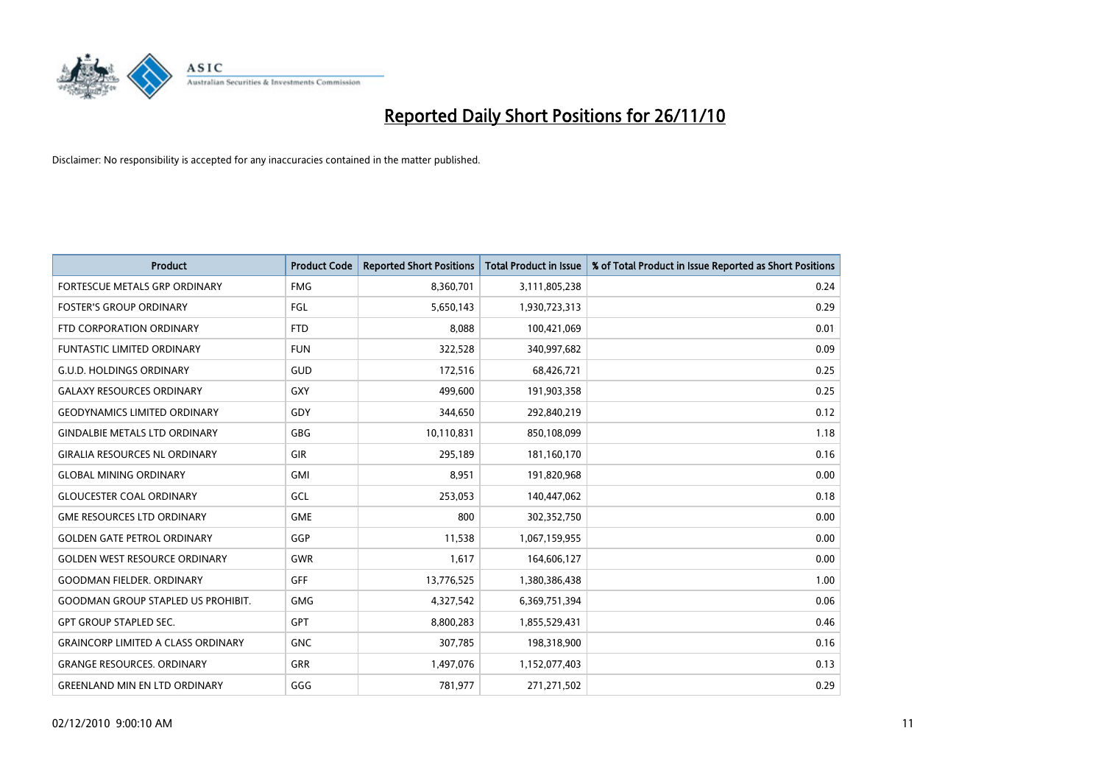

| <b>Product</b>                            | <b>Product Code</b> | <b>Reported Short Positions</b> | <b>Total Product in Issue</b> | % of Total Product in Issue Reported as Short Positions |
|-------------------------------------------|---------------------|---------------------------------|-------------------------------|---------------------------------------------------------|
| <b>FORTESCUE METALS GRP ORDINARY</b>      | <b>FMG</b>          | 8,360,701                       | 3,111,805,238                 | 0.24                                                    |
| <b>FOSTER'S GROUP ORDINARY</b>            | FGL                 | 5,650,143                       | 1,930,723,313                 | 0.29                                                    |
| FTD CORPORATION ORDINARY                  | <b>FTD</b>          | 8,088                           | 100,421,069                   | 0.01                                                    |
| FUNTASTIC LIMITED ORDINARY                | <b>FUN</b>          | 322,528                         | 340,997,682                   | 0.09                                                    |
| <b>G.U.D. HOLDINGS ORDINARY</b>           | GUD                 | 172,516                         | 68,426,721                    | 0.25                                                    |
| <b>GALAXY RESOURCES ORDINARY</b>          | GXY                 | 499,600                         | 191,903,358                   | 0.25                                                    |
| <b>GEODYNAMICS LIMITED ORDINARY</b>       | GDY                 | 344,650                         | 292,840,219                   | 0.12                                                    |
| <b>GINDALBIE METALS LTD ORDINARY</b>      | <b>GBG</b>          | 10,110,831                      | 850,108,099                   | 1.18                                                    |
| <b>GIRALIA RESOURCES NL ORDINARY</b>      | <b>GIR</b>          | 295,189                         | 181,160,170                   | 0.16                                                    |
| <b>GLOBAL MINING ORDINARY</b>             | <b>GMI</b>          | 8,951                           | 191,820,968                   | 0.00                                                    |
| <b>GLOUCESTER COAL ORDINARY</b>           | GCL                 | 253,053                         | 140,447,062                   | 0.18                                                    |
| <b>GME RESOURCES LTD ORDINARY</b>         | <b>GME</b>          | 800                             | 302,352,750                   | 0.00                                                    |
| <b>GOLDEN GATE PETROL ORDINARY</b>        | GGP                 | 11,538                          | 1,067,159,955                 | 0.00                                                    |
| <b>GOLDEN WEST RESOURCE ORDINARY</b>      | GWR                 | 1,617                           | 164,606,127                   | 0.00                                                    |
| <b>GOODMAN FIELDER. ORDINARY</b>          | <b>GFF</b>          | 13,776,525                      | 1,380,386,438                 | 1.00                                                    |
| <b>GOODMAN GROUP STAPLED US PROHIBIT.</b> | <b>GMG</b>          | 4,327,542                       | 6,369,751,394                 | 0.06                                                    |
| <b>GPT GROUP STAPLED SEC.</b>             | <b>GPT</b>          | 8,800,283                       | 1,855,529,431                 | 0.46                                                    |
| <b>GRAINCORP LIMITED A CLASS ORDINARY</b> | <b>GNC</b>          | 307,785                         | 198,318,900                   | 0.16                                                    |
| <b>GRANGE RESOURCES, ORDINARY</b>         | <b>GRR</b>          | 1,497,076                       | 1,152,077,403                 | 0.13                                                    |
| <b>GREENLAND MIN EN LTD ORDINARY</b>      | GGG                 | 781,977                         | 271,271,502                   | 0.29                                                    |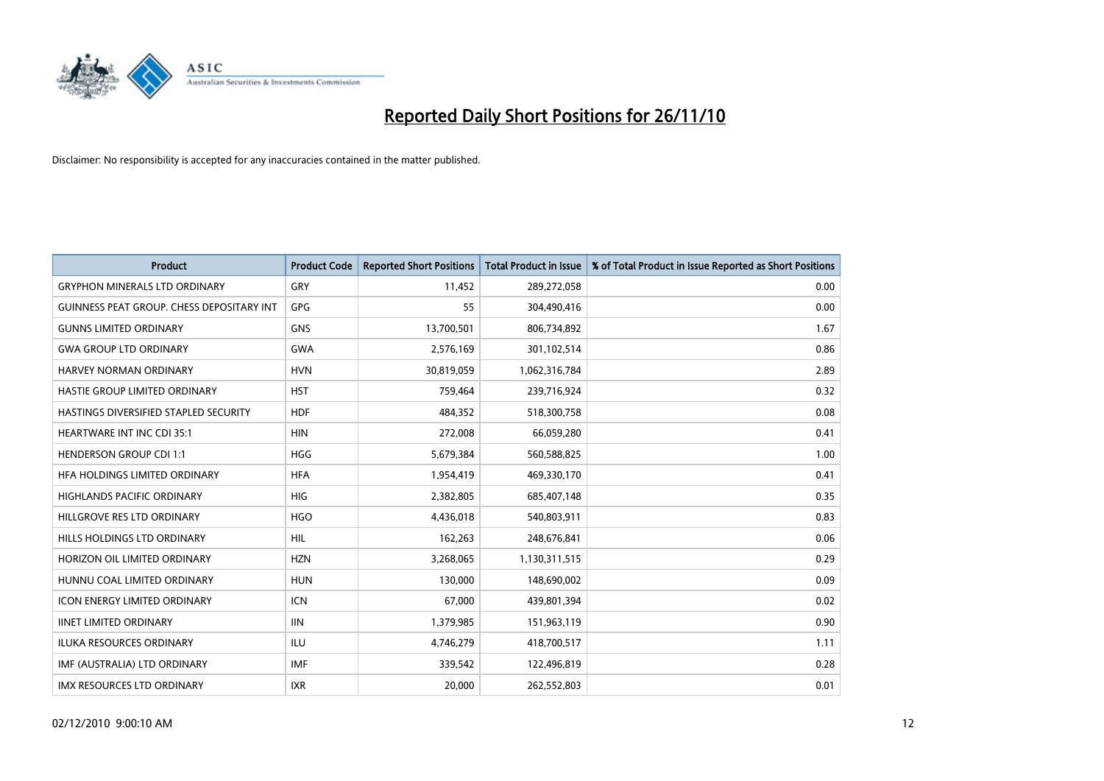

| <b>Product</b>                            | <b>Product Code</b> | <b>Reported Short Positions</b> | <b>Total Product in Issue</b> | % of Total Product in Issue Reported as Short Positions |
|-------------------------------------------|---------------------|---------------------------------|-------------------------------|---------------------------------------------------------|
| <b>GRYPHON MINERALS LTD ORDINARY</b>      | GRY                 | 11,452                          | 289,272,058                   | 0.00                                                    |
| GUINNESS PEAT GROUP. CHESS DEPOSITARY INT | GPG                 | 55                              | 304,490,416                   | 0.00                                                    |
| <b>GUNNS LIMITED ORDINARY</b>             | <b>GNS</b>          | 13,700,501                      | 806,734,892                   | 1.67                                                    |
| <b>GWA GROUP LTD ORDINARY</b>             | <b>GWA</b>          | 2,576,169                       | 301,102,514                   | 0.86                                                    |
| <b>HARVEY NORMAN ORDINARY</b>             | <b>HVN</b>          | 30,819,059                      | 1,062,316,784                 | 2.89                                                    |
| HASTIE GROUP LIMITED ORDINARY             | <b>HST</b>          | 759,464                         | 239,716,924                   | 0.32                                                    |
| HASTINGS DIVERSIFIED STAPLED SECURITY     | <b>HDF</b>          | 484.352                         | 518,300,758                   | 0.08                                                    |
| <b>HEARTWARE INT INC CDI 35:1</b>         | <b>HIN</b>          | 272,008                         | 66,059,280                    | 0.41                                                    |
| <b>HENDERSON GROUP CDI 1:1</b>            | <b>HGG</b>          | 5,679,384                       | 560,588,825                   | 1.00                                                    |
| HFA HOLDINGS LIMITED ORDINARY             | <b>HFA</b>          | 1,954,419                       | 469,330,170                   | 0.41                                                    |
| <b>HIGHLANDS PACIFIC ORDINARY</b>         | <b>HIG</b>          | 2,382,805                       | 685,407,148                   | 0.35                                                    |
| HILLGROVE RES LTD ORDINARY                | <b>HGO</b>          | 4,436,018                       | 540,803,911                   | 0.83                                                    |
| HILLS HOLDINGS LTD ORDINARY               | <b>HIL</b>          | 162,263                         | 248,676,841                   | 0.06                                                    |
| HORIZON OIL LIMITED ORDINARY              | <b>HZN</b>          | 3,268,065                       | 1,130,311,515                 | 0.29                                                    |
| HUNNU COAL LIMITED ORDINARY               | <b>HUN</b>          | 130,000                         | 148,690,002                   | 0.09                                                    |
| <b>ICON ENERGY LIMITED ORDINARY</b>       | <b>ICN</b>          | 67,000                          | 439,801,394                   | 0.02                                                    |
| <b>IINET LIMITED ORDINARY</b>             | <b>IIN</b>          | 1,379,985                       | 151,963,119                   | 0.90                                                    |
| ILUKA RESOURCES ORDINARY                  | <b>ILU</b>          | 4,746,279                       | 418,700,517                   | 1.11                                                    |
| IMF (AUSTRALIA) LTD ORDINARY              | <b>IMF</b>          | 339,542                         | 122,496,819                   | 0.28                                                    |
| <b>IMX RESOURCES LTD ORDINARY</b>         | <b>IXR</b>          | 20.000                          | 262,552,803                   | 0.01                                                    |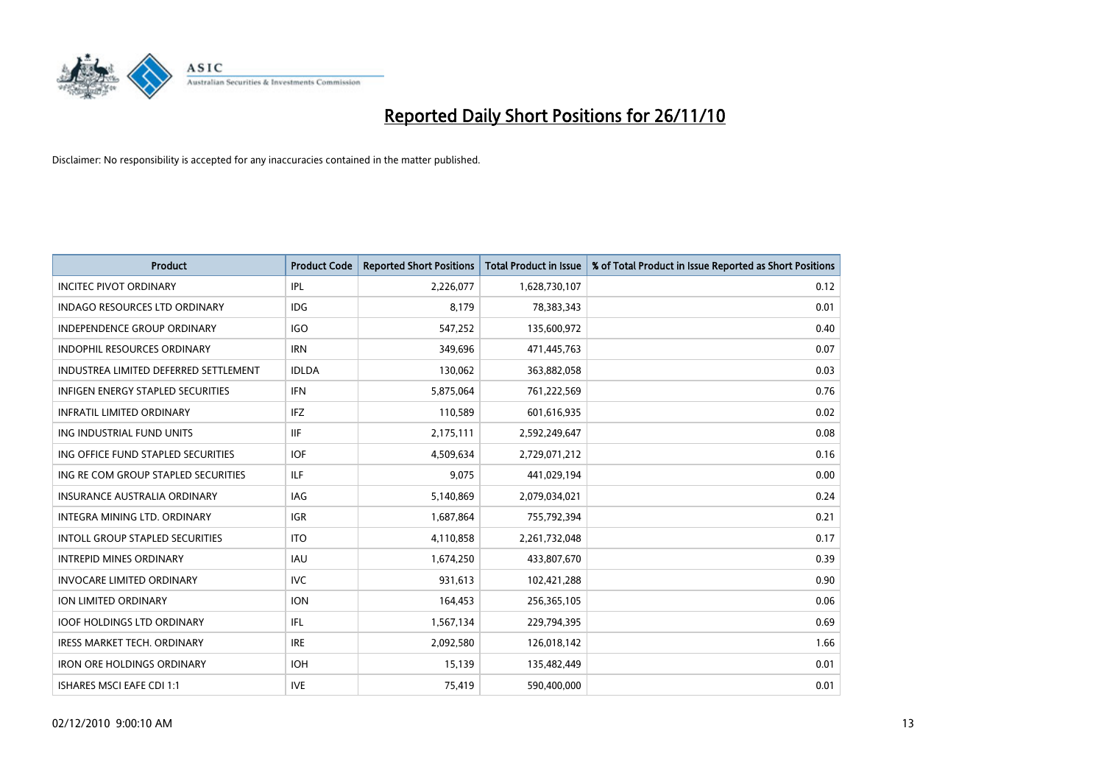

| <b>Product</b>                           | <b>Product Code</b> | <b>Reported Short Positions</b> | <b>Total Product in Issue</b> | % of Total Product in Issue Reported as Short Positions |
|------------------------------------------|---------------------|---------------------------------|-------------------------------|---------------------------------------------------------|
| <b>INCITEC PIVOT ORDINARY</b>            | <b>IPL</b>          | 2,226,077                       | 1,628,730,107                 | 0.12                                                    |
| INDAGO RESOURCES LTD ORDINARY            | <b>IDG</b>          | 8,179                           | 78,383,343                    | 0.01                                                    |
| <b>INDEPENDENCE GROUP ORDINARY</b>       | <b>IGO</b>          | 547,252                         | 135,600,972                   | 0.40                                                    |
| <b>INDOPHIL RESOURCES ORDINARY</b>       | <b>IRN</b>          | 349,696                         | 471,445,763                   | 0.07                                                    |
| INDUSTREA LIMITED DEFERRED SETTLEMENT    | <b>IDLDA</b>        | 130,062                         | 363,882,058                   | 0.03                                                    |
| <b>INFIGEN ENERGY STAPLED SECURITIES</b> | <b>IFN</b>          | 5,875,064                       | 761,222,569                   | 0.76                                                    |
| <b>INFRATIL LIMITED ORDINARY</b>         | IFZ                 | 110,589                         | 601,616,935                   | 0.02                                                    |
| ING INDUSTRIAL FUND UNITS                | <b>IIF</b>          | 2,175,111                       | 2,592,249,647                 | 0.08                                                    |
| ING OFFICE FUND STAPLED SECURITIES       | <b>IOF</b>          | 4,509,634                       | 2,729,071,212                 | 0.16                                                    |
| ING RE COM GROUP STAPLED SECURITIES      | ILF.                | 9,075                           | 441,029,194                   | 0.00                                                    |
| <b>INSURANCE AUSTRALIA ORDINARY</b>      | <b>IAG</b>          | 5,140,869                       | 2,079,034,021                 | 0.24                                                    |
| INTEGRA MINING LTD. ORDINARY             | <b>IGR</b>          | 1,687,864                       | 755,792,394                   | 0.21                                                    |
| <b>INTOLL GROUP STAPLED SECURITIES</b>   | <b>ITO</b>          | 4,110,858                       | 2,261,732,048                 | 0.17                                                    |
| <b>INTREPID MINES ORDINARY</b>           | <b>IAU</b>          | 1,674,250                       | 433,807,670                   | 0.39                                                    |
| <b>INVOCARE LIMITED ORDINARY</b>         | <b>IVC</b>          | 931,613                         | 102,421,288                   | 0.90                                                    |
| <b>ION LIMITED ORDINARY</b>              | <b>ION</b>          | 164,453                         | 256,365,105                   | 0.06                                                    |
| <b>IOOF HOLDINGS LTD ORDINARY</b>        | IFL.                | 1,567,134                       | 229,794,395                   | 0.69                                                    |
| IRESS MARKET TECH. ORDINARY              | <b>IRE</b>          | 2,092,580                       | 126,018,142                   | 1.66                                                    |
| <b>IRON ORE HOLDINGS ORDINARY</b>        | <b>IOH</b>          | 15,139                          | 135,482,449                   | 0.01                                                    |
| ISHARES MSCI EAFE CDI 1:1                | <b>IVE</b>          | 75,419                          | 590,400,000                   | 0.01                                                    |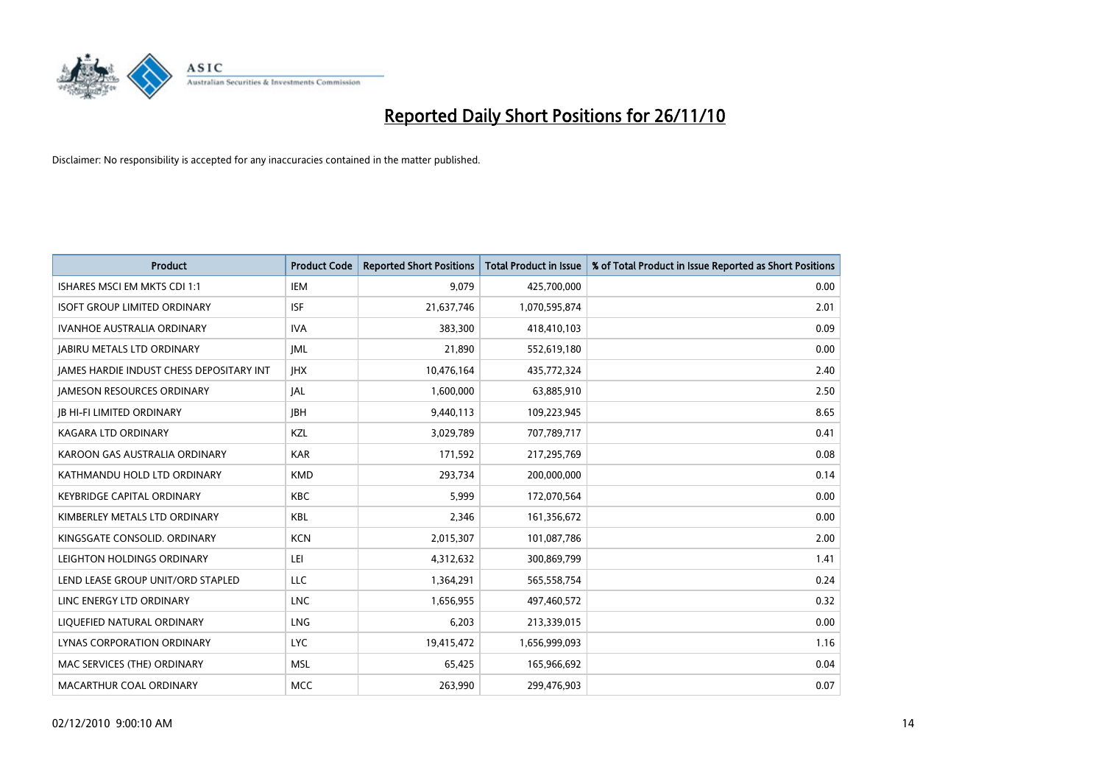

| <b>Product</b>                                  | <b>Product Code</b> | <b>Reported Short Positions</b> | <b>Total Product in Issue</b> | % of Total Product in Issue Reported as Short Positions |
|-------------------------------------------------|---------------------|---------------------------------|-------------------------------|---------------------------------------------------------|
| ISHARES MSCI EM MKTS CDI 1:1                    | <b>IEM</b>          | 9,079                           | 425,700,000                   | 0.00                                                    |
| <b>ISOFT GROUP LIMITED ORDINARY</b>             | <b>ISF</b>          | 21,637,746                      | 1,070,595,874                 | 2.01                                                    |
| <b>IVANHOE AUSTRALIA ORDINARY</b>               | <b>IVA</b>          | 383.300                         | 418,410,103                   | 0.09                                                    |
| <b>JABIRU METALS LTD ORDINARY</b>               | <b>JML</b>          | 21,890                          | 552,619,180                   | 0.00                                                    |
| <b>JAMES HARDIE INDUST CHESS DEPOSITARY INT</b> | <b>IHX</b>          | 10,476,164                      | 435,772,324                   | 2.40                                                    |
| <b>JAMESON RESOURCES ORDINARY</b>               | <b>JAL</b>          | 1,600,000                       | 63,885,910                    | 2.50                                                    |
| <b>IB HI-FI LIMITED ORDINARY</b>                | <b>JBH</b>          | 9,440,113                       | 109,223,945                   | 8.65                                                    |
| KAGARA LTD ORDINARY                             | KZL                 | 3,029,789                       | 707,789,717                   | 0.41                                                    |
| KAROON GAS AUSTRALIA ORDINARY                   | <b>KAR</b>          | 171,592                         | 217,295,769                   | 0.08                                                    |
| KATHMANDU HOLD LTD ORDINARY                     | <b>KMD</b>          | 293,734                         | 200,000,000                   | 0.14                                                    |
| <b>KEYBRIDGE CAPITAL ORDINARY</b>               | <b>KBC</b>          | 5,999                           | 172,070,564                   | 0.00                                                    |
| KIMBERLEY METALS LTD ORDINARY                   | <b>KBL</b>          | 2,346                           | 161,356,672                   | 0.00                                                    |
| KINGSGATE CONSOLID. ORDINARY                    | <b>KCN</b>          | 2,015,307                       | 101,087,786                   | 2.00                                                    |
| LEIGHTON HOLDINGS ORDINARY                      | LEI                 | 4,312,632                       | 300,869,799                   | 1.41                                                    |
| LEND LEASE GROUP UNIT/ORD STAPLED               | <b>LLC</b>          | 1,364,291                       | 565,558,754                   | 0.24                                                    |
| LINC ENERGY LTD ORDINARY                        | <b>LNC</b>          | 1,656,955                       | 497,460,572                   | 0.32                                                    |
| LIQUEFIED NATURAL ORDINARY                      | LNG                 | 6,203                           | 213,339,015                   | 0.00                                                    |
| LYNAS CORPORATION ORDINARY                      | <b>LYC</b>          | 19,415,472                      | 1,656,999,093                 | 1.16                                                    |
| MAC SERVICES (THE) ORDINARY                     | <b>MSL</b>          | 65,425                          | 165,966,692                   | 0.04                                                    |
| MACARTHUR COAL ORDINARY                         | <b>MCC</b>          | 263,990                         | 299,476,903                   | 0.07                                                    |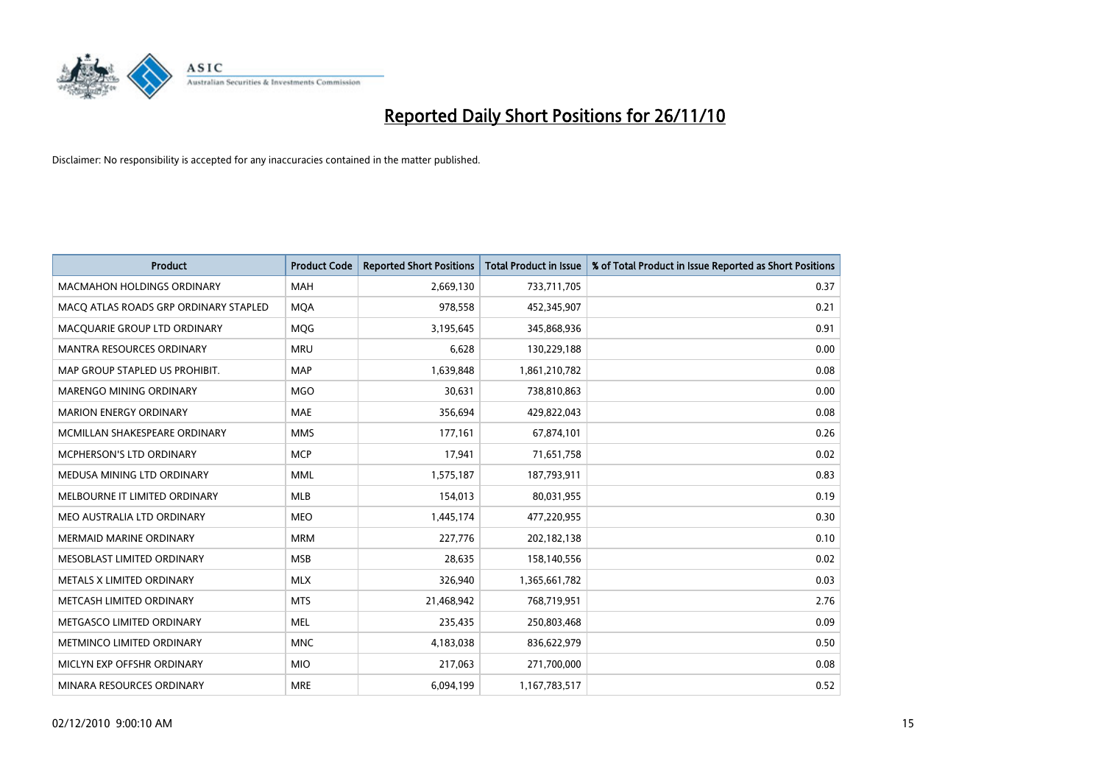

| <b>Product</b>                        | <b>Product Code</b> | <b>Reported Short Positions</b> | Total Product in Issue | % of Total Product in Issue Reported as Short Positions |
|---------------------------------------|---------------------|---------------------------------|------------------------|---------------------------------------------------------|
| <b>MACMAHON HOLDINGS ORDINARY</b>     | <b>MAH</b>          | 2,669,130                       | 733,711,705            | 0.37                                                    |
| MACQ ATLAS ROADS GRP ORDINARY STAPLED | <b>MOA</b>          | 978,558                         | 452,345,907            | 0.21                                                    |
| MACQUARIE GROUP LTD ORDINARY          | MQG                 | 3,195,645                       | 345,868,936            | 0.91                                                    |
| MANTRA RESOURCES ORDINARY             | <b>MRU</b>          | 6,628                           | 130,229,188            | 0.00                                                    |
| MAP GROUP STAPLED US PROHIBIT.        | <b>MAP</b>          | 1,639,848                       | 1,861,210,782          | 0.08                                                    |
| <b>MARENGO MINING ORDINARY</b>        | <b>MGO</b>          | 30,631                          | 738,810,863            | 0.00                                                    |
| <b>MARION ENERGY ORDINARY</b>         | <b>MAE</b>          | 356,694                         | 429,822,043            | 0.08                                                    |
| MCMILLAN SHAKESPEARE ORDINARY         | <b>MMS</b>          | 177,161                         | 67,874,101             | 0.26                                                    |
| MCPHERSON'S LTD ORDINARY              | <b>MCP</b>          | 17,941                          | 71,651,758             | 0.02                                                    |
| MEDUSA MINING LTD ORDINARY            | <b>MML</b>          | 1,575,187                       | 187,793,911            | 0.83                                                    |
| MELBOURNE IT LIMITED ORDINARY         | <b>MLB</b>          | 154,013                         | 80,031,955             | 0.19                                                    |
| MEO AUSTRALIA LTD ORDINARY            | <b>MEO</b>          | 1,445,174                       | 477,220,955            | 0.30                                                    |
| <b>MERMAID MARINE ORDINARY</b>        | <b>MRM</b>          | 227,776                         | 202,182,138            | 0.10                                                    |
| MESOBLAST LIMITED ORDINARY            | <b>MSB</b>          | 28.635                          | 158,140,556            | 0.02                                                    |
| METALS X LIMITED ORDINARY             | <b>MLX</b>          | 326,940                         | 1,365,661,782          | 0.03                                                    |
| METCASH LIMITED ORDINARY              | <b>MTS</b>          | 21,468,942                      | 768,719,951            | 2.76                                                    |
| METGASCO LIMITED ORDINARY             | <b>MEL</b>          | 235,435                         | 250,803,468            | 0.09                                                    |
| METMINCO LIMITED ORDINARY             | <b>MNC</b>          | 4,183,038                       | 836,622,979            | 0.50                                                    |
| MICLYN EXP OFFSHR ORDINARY            | <b>MIO</b>          | 217,063                         | 271,700,000            | 0.08                                                    |
| MINARA RESOURCES ORDINARY             | <b>MRE</b>          | 6,094,199                       | 1,167,783,517          | 0.52                                                    |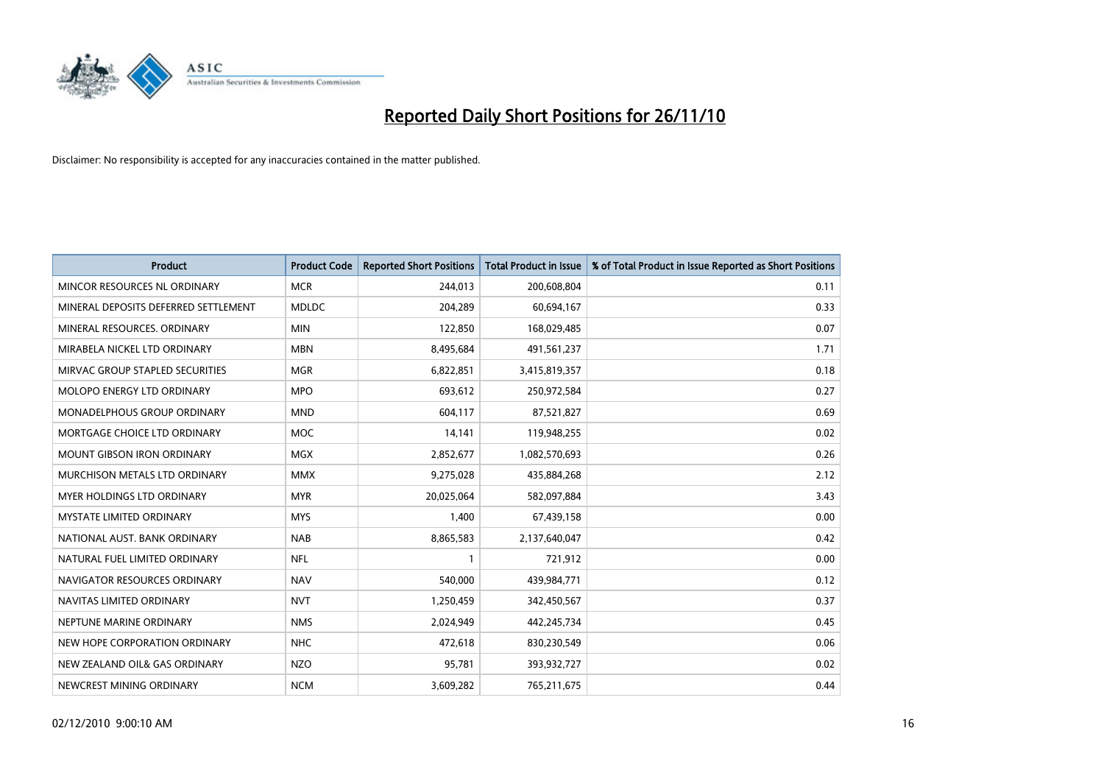

| <b>Product</b>                       | <b>Product Code</b> | <b>Reported Short Positions</b> | Total Product in Issue | % of Total Product in Issue Reported as Short Positions |
|--------------------------------------|---------------------|---------------------------------|------------------------|---------------------------------------------------------|
| MINCOR RESOURCES NL ORDINARY         | <b>MCR</b>          | 244,013                         | 200,608,804            | 0.11                                                    |
| MINERAL DEPOSITS DEFERRED SETTLEMENT | <b>MDLDC</b>        | 204,289                         | 60,694,167             | 0.33                                                    |
| MINERAL RESOURCES, ORDINARY          | <b>MIN</b>          | 122,850                         | 168,029,485            | 0.07                                                    |
| MIRABELA NICKEL LTD ORDINARY         | <b>MBN</b>          | 8,495,684                       | 491,561,237            | 1.71                                                    |
| MIRVAC GROUP STAPLED SECURITIES      | <b>MGR</b>          | 6,822,851                       | 3,415,819,357          | 0.18                                                    |
| <b>MOLOPO ENERGY LTD ORDINARY</b>    | <b>MPO</b>          | 693,612                         | 250,972,584            | 0.27                                                    |
| MONADELPHOUS GROUP ORDINARY          | <b>MND</b>          | 604,117                         | 87,521,827             | 0.69                                                    |
| MORTGAGE CHOICE LTD ORDINARY         | <b>MOC</b>          | 14,141                          | 119,948,255            | 0.02                                                    |
| <b>MOUNT GIBSON IRON ORDINARY</b>    | <b>MGX</b>          | 2,852,677                       | 1,082,570,693          | 0.26                                                    |
| MURCHISON METALS LTD ORDINARY        | <b>MMX</b>          | 9,275,028                       | 435,884,268            | 2.12                                                    |
| MYER HOLDINGS LTD ORDINARY           | <b>MYR</b>          | 20,025,064                      | 582,097,884            | 3.43                                                    |
| <b>MYSTATE LIMITED ORDINARY</b>      | <b>MYS</b>          | 1,400                           | 67,439,158             | 0.00                                                    |
| NATIONAL AUST. BANK ORDINARY         | <b>NAB</b>          | 8,865,583                       | 2,137,640,047          | 0.42                                                    |
| NATURAL FUEL LIMITED ORDINARY        | <b>NFL</b>          |                                 | 721,912                | 0.00                                                    |
| NAVIGATOR RESOURCES ORDINARY         | <b>NAV</b>          | 540.000                         | 439,984,771            | 0.12                                                    |
| NAVITAS LIMITED ORDINARY             | <b>NVT</b>          | 1,250,459                       | 342,450,567            | 0.37                                                    |
| NEPTUNE MARINE ORDINARY              | <b>NMS</b>          | 2,024,949                       | 442,245,734            | 0.45                                                    |
| NEW HOPE CORPORATION ORDINARY        | <b>NHC</b>          | 472,618                         | 830,230,549            | 0.06                                                    |
| NEW ZEALAND OIL& GAS ORDINARY        | <b>NZO</b>          | 95,781                          | 393,932,727            | 0.02                                                    |
| NEWCREST MINING ORDINARY             | <b>NCM</b>          | 3,609,282                       | 765,211,675            | 0.44                                                    |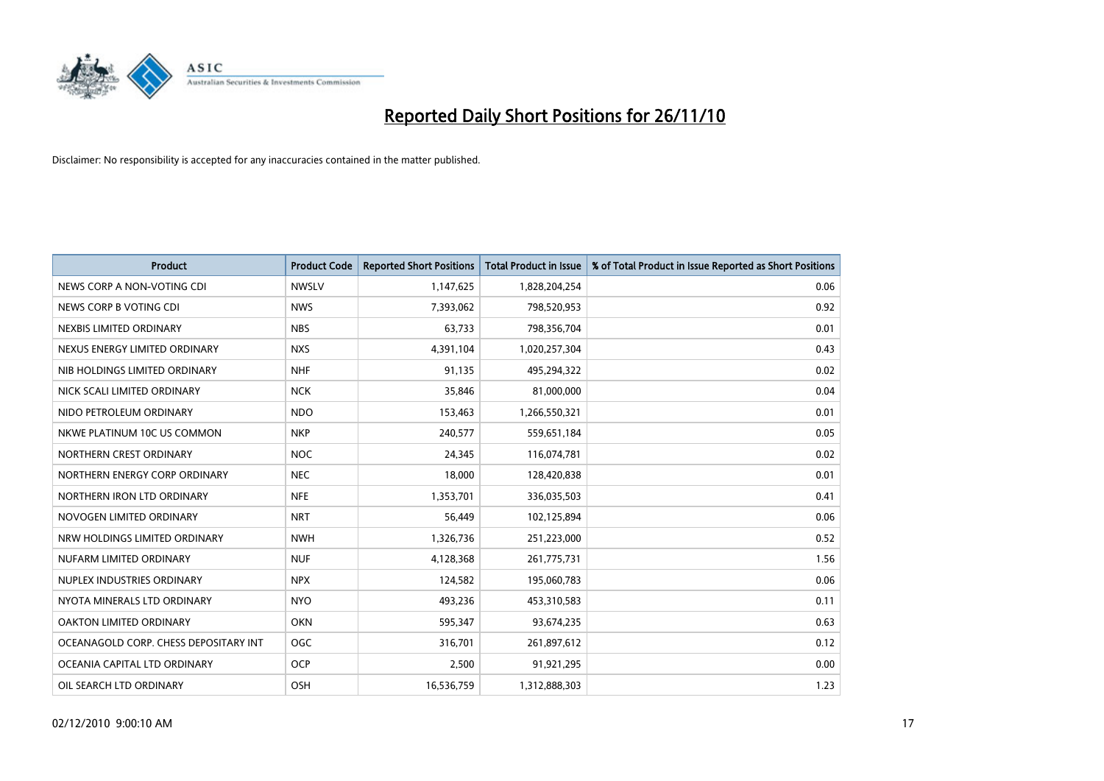

| <b>Product</b>                        | <b>Product Code</b> | <b>Reported Short Positions</b> | Total Product in Issue | % of Total Product in Issue Reported as Short Positions |
|---------------------------------------|---------------------|---------------------------------|------------------------|---------------------------------------------------------|
| NEWS CORP A NON-VOTING CDI            | <b>NWSLV</b>        | 1,147,625                       | 1,828,204,254          | 0.06                                                    |
| NEWS CORP B VOTING CDI                | <b>NWS</b>          | 7,393,062                       | 798,520,953            | 0.92                                                    |
| NEXBIS LIMITED ORDINARY               | <b>NBS</b>          | 63,733                          | 798,356,704            | 0.01                                                    |
| NEXUS ENERGY LIMITED ORDINARY         | <b>NXS</b>          | 4,391,104                       | 1,020,257,304          | 0.43                                                    |
| NIB HOLDINGS LIMITED ORDINARY         | <b>NHF</b>          | 91,135                          | 495,294,322            | 0.02                                                    |
| NICK SCALI LIMITED ORDINARY           | <b>NCK</b>          | 35,846                          | 81,000,000             | 0.04                                                    |
| NIDO PETROLEUM ORDINARY               | <b>NDO</b>          | 153,463                         | 1,266,550,321          | 0.01                                                    |
| NKWE PLATINUM 10C US COMMON           | <b>NKP</b>          | 240,577                         | 559,651,184            | 0.05                                                    |
| NORTHERN CREST ORDINARY               | <b>NOC</b>          | 24,345                          | 116,074,781            | 0.02                                                    |
| NORTHERN ENERGY CORP ORDINARY         | <b>NEC</b>          | 18,000                          | 128,420,838            | 0.01                                                    |
| NORTHERN IRON LTD ORDINARY            | <b>NFE</b>          | 1,353,701                       | 336,035,503            | 0.41                                                    |
| NOVOGEN LIMITED ORDINARY              | <b>NRT</b>          | 56,449                          | 102,125,894            | 0.06                                                    |
| NRW HOLDINGS LIMITED ORDINARY         | <b>NWH</b>          | 1,326,736                       | 251,223,000            | 0.52                                                    |
| NUFARM LIMITED ORDINARY               | <b>NUF</b>          | 4,128,368                       | 261,775,731            | 1.56                                                    |
| NUPLEX INDUSTRIES ORDINARY            | <b>NPX</b>          | 124,582                         | 195,060,783            | 0.06                                                    |
| NYOTA MINERALS LTD ORDINARY           | <b>NYO</b>          | 493,236                         | 453,310,583            | 0.11                                                    |
| <b>OAKTON LIMITED ORDINARY</b>        | <b>OKN</b>          | 595,347                         | 93,674,235             | 0.63                                                    |
| OCEANAGOLD CORP. CHESS DEPOSITARY INT | OGC                 | 316,701                         | 261,897,612            | 0.12                                                    |
| OCEANIA CAPITAL LTD ORDINARY          | <b>OCP</b>          | 2,500                           | 91,921,295             | 0.00                                                    |
| OIL SEARCH LTD ORDINARY               | OSH                 | 16,536,759                      | 1,312,888,303          | 1.23                                                    |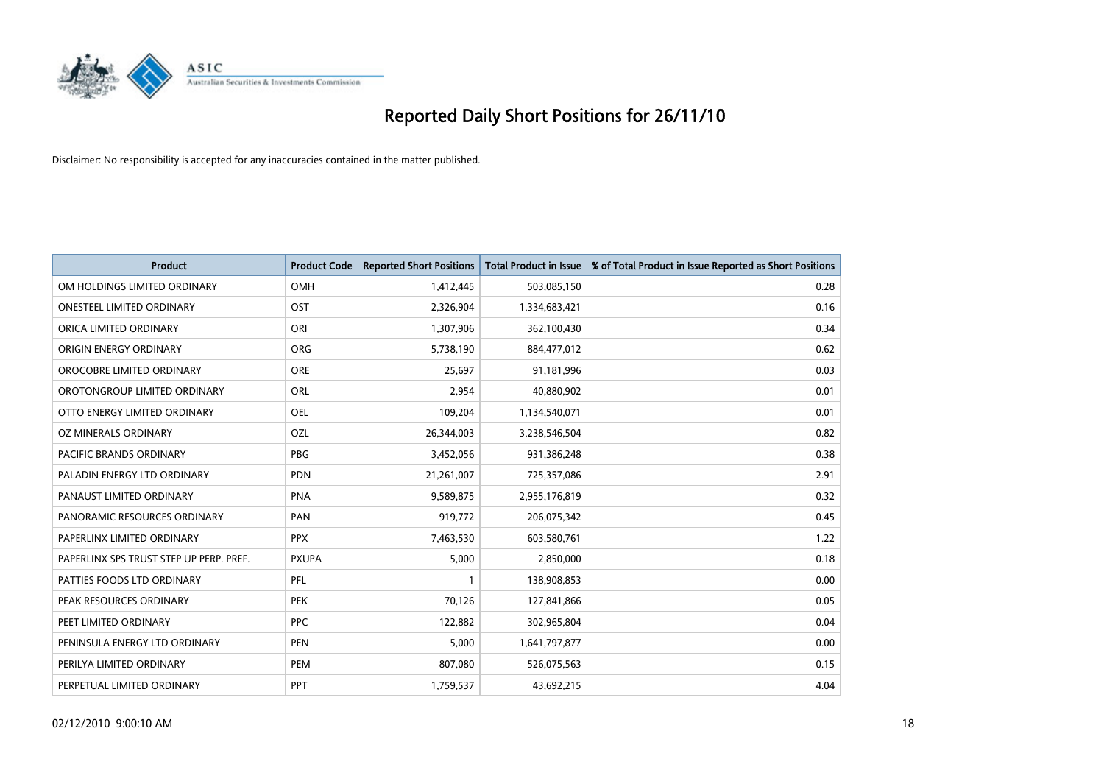

| <b>Product</b>                          | <b>Product Code</b> | <b>Reported Short Positions</b> | <b>Total Product in Issue</b> | % of Total Product in Issue Reported as Short Positions |
|-----------------------------------------|---------------------|---------------------------------|-------------------------------|---------------------------------------------------------|
| OM HOLDINGS LIMITED ORDINARY            | OMH                 | 1,412,445                       | 503,085,150                   | 0.28                                                    |
| <b>ONESTEEL LIMITED ORDINARY</b>        | OST                 | 2,326,904                       | 1,334,683,421                 | 0.16                                                    |
| ORICA LIMITED ORDINARY                  | ORI                 | 1,307,906                       | 362,100,430                   | 0.34                                                    |
| ORIGIN ENERGY ORDINARY                  | <b>ORG</b>          | 5,738,190                       | 884,477,012                   | 0.62                                                    |
| OROCOBRE LIMITED ORDINARY               | <b>ORE</b>          | 25.697                          | 91,181,996                    | 0.03                                                    |
| OROTONGROUP LIMITED ORDINARY            | ORL                 | 2,954                           | 40,880,902                    | 0.01                                                    |
| OTTO ENERGY LIMITED ORDINARY            | <b>OEL</b>          | 109.204                         | 1,134,540,071                 | 0.01                                                    |
| OZ MINERALS ORDINARY                    | OZL                 | 26,344,003                      | 3,238,546,504                 | 0.82                                                    |
| PACIFIC BRANDS ORDINARY                 | <b>PBG</b>          | 3,452,056                       | 931,386,248                   | 0.38                                                    |
| PALADIN ENERGY LTD ORDINARY             | <b>PDN</b>          | 21,261,007                      | 725,357,086                   | 2.91                                                    |
| PANAUST LIMITED ORDINARY                | <b>PNA</b>          | 9,589,875                       | 2,955,176,819                 | 0.32                                                    |
| PANORAMIC RESOURCES ORDINARY            | PAN                 | 919,772                         | 206,075,342                   | 0.45                                                    |
| PAPERLINX LIMITED ORDINARY              | <b>PPX</b>          | 7,463,530                       | 603,580,761                   | 1.22                                                    |
| PAPERLINX SPS TRUST STEP UP PERP. PREF. | <b>PXUPA</b>        | 5,000                           | 2,850,000                     | 0.18                                                    |
| PATTIES FOODS LTD ORDINARY              | PFL                 |                                 | 138,908,853                   | 0.00                                                    |
| PEAK RESOURCES ORDINARY                 | <b>PEK</b>          | 70,126                          | 127,841,866                   | 0.05                                                    |
| PEET LIMITED ORDINARY                   | <b>PPC</b>          | 122,882                         | 302,965,804                   | 0.04                                                    |
| PENINSULA ENERGY LTD ORDINARY           | <b>PEN</b>          | 5,000                           | 1,641,797,877                 | 0.00                                                    |
| PERILYA LIMITED ORDINARY                | PEM                 | 807,080                         | 526,075,563                   | 0.15                                                    |
| PERPETUAL LIMITED ORDINARY              | PPT                 | 1,759,537                       | 43,692,215                    | 4.04                                                    |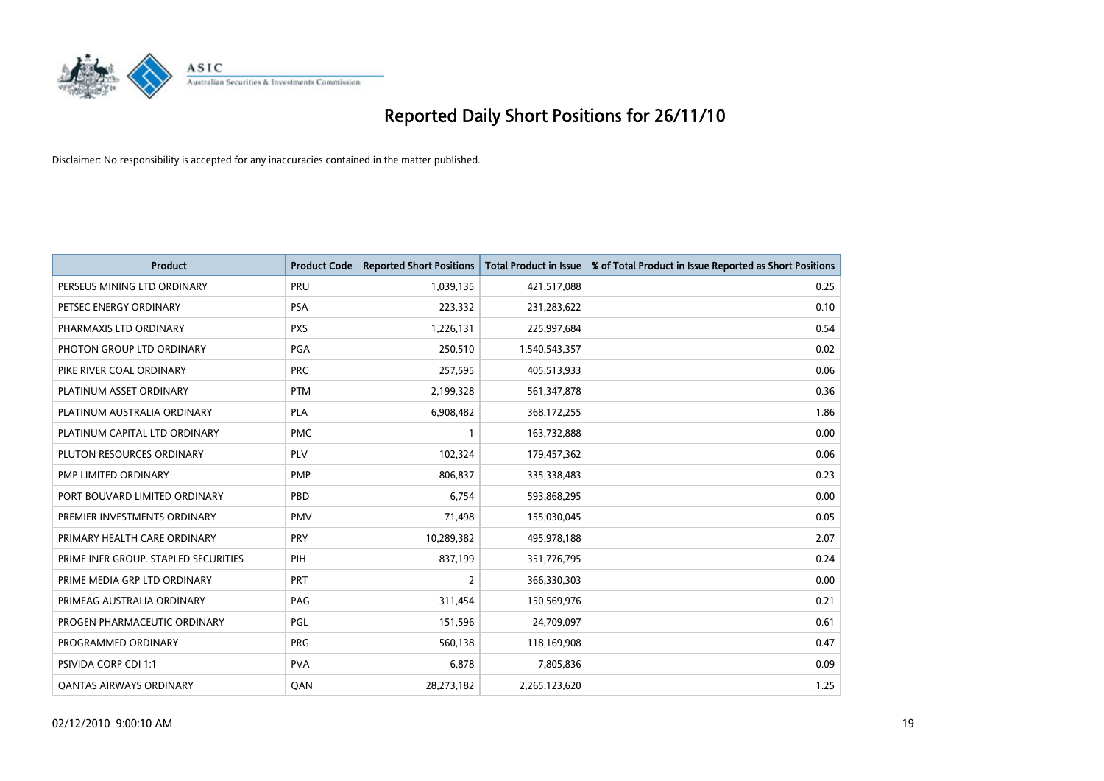

| <b>Product</b>                       | <b>Product Code</b> | <b>Reported Short Positions</b> | <b>Total Product in Issue</b> | % of Total Product in Issue Reported as Short Positions |
|--------------------------------------|---------------------|---------------------------------|-------------------------------|---------------------------------------------------------|
| PERSEUS MINING LTD ORDINARY          | PRU                 | 1,039,135                       | 421,517,088                   | 0.25                                                    |
| PETSEC ENERGY ORDINARY               | <b>PSA</b>          | 223,332                         | 231,283,622                   | 0.10                                                    |
| PHARMAXIS LTD ORDINARY               | <b>PXS</b>          | 1,226,131                       | 225,997,684                   | 0.54                                                    |
| PHOTON GROUP LTD ORDINARY            | <b>PGA</b>          | 250,510                         | 1,540,543,357                 | 0.02                                                    |
| PIKE RIVER COAL ORDINARY             | <b>PRC</b>          | 257,595                         | 405,513,933                   | 0.06                                                    |
| PLATINUM ASSET ORDINARY              | <b>PTM</b>          | 2,199,328                       | 561,347,878                   | 0.36                                                    |
| PLATINUM AUSTRALIA ORDINARY          | <b>PLA</b>          | 6,908,482                       | 368,172,255                   | 1.86                                                    |
| PLATINUM CAPITAL LTD ORDINARY        | <b>PMC</b>          |                                 | 163,732,888                   | 0.00                                                    |
| PLUTON RESOURCES ORDINARY            | PLV                 | 102,324                         | 179,457,362                   | 0.06                                                    |
| <b>PMP LIMITED ORDINARY</b>          | <b>PMP</b>          | 806,837                         | 335,338,483                   | 0.23                                                    |
| PORT BOUVARD LIMITED ORDINARY        | PBD                 | 6,754                           | 593,868,295                   | 0.00                                                    |
| PREMIER INVESTMENTS ORDINARY         | <b>PMV</b>          | 71,498                          | 155,030,045                   | 0.05                                                    |
| PRIMARY HEALTH CARE ORDINARY         | <b>PRY</b>          | 10,289,382                      | 495,978,188                   | 2.07                                                    |
| PRIME INFR GROUP. STAPLED SECURITIES | PIH                 | 837,199                         | 351,776,795                   | 0.24                                                    |
| PRIME MEDIA GRP LTD ORDINARY         | PRT                 | $\overline{2}$                  | 366,330,303                   | 0.00                                                    |
| PRIMEAG AUSTRALIA ORDINARY           | PAG                 | 311,454                         | 150,569,976                   | 0.21                                                    |
| PROGEN PHARMACEUTIC ORDINARY         | <b>PGL</b>          | 151,596                         | 24,709,097                    | 0.61                                                    |
| PROGRAMMED ORDINARY                  | <b>PRG</b>          | 560,138                         | 118,169,908                   | 0.47                                                    |
| PSIVIDA CORP CDI 1:1                 | <b>PVA</b>          | 6,878                           | 7,805,836                     | 0.09                                                    |
| <b>QANTAS AIRWAYS ORDINARY</b>       | QAN                 | 28,273,182                      | 2,265,123,620                 | 1.25                                                    |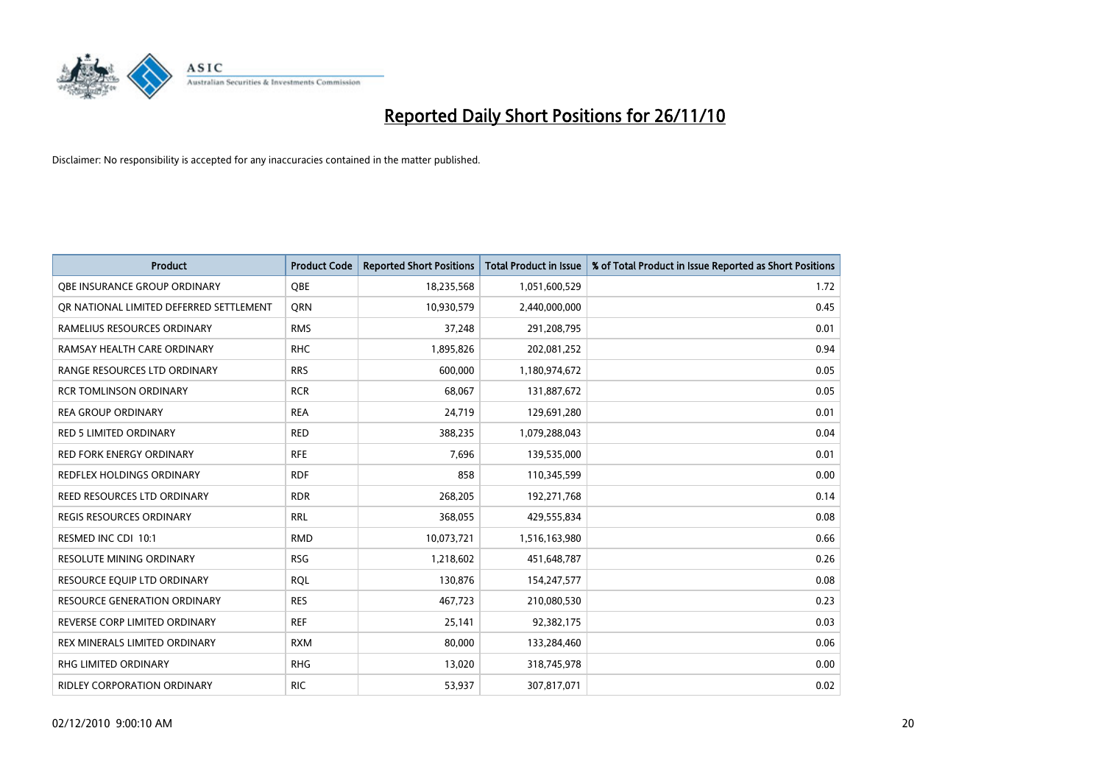

| <b>Product</b>                          | <b>Product Code</b> | <b>Reported Short Positions</b> | <b>Total Product in Issue</b> | % of Total Product in Issue Reported as Short Positions |
|-----------------------------------------|---------------------|---------------------------------|-------------------------------|---------------------------------------------------------|
| OBE INSURANCE GROUP ORDINARY            | <b>OBE</b>          | 18,235,568                      | 1,051,600,529                 | 1.72                                                    |
| OR NATIONAL LIMITED DEFERRED SETTLEMENT | <b>ORN</b>          | 10,930,579                      | 2,440,000,000                 | 0.45                                                    |
| RAMELIUS RESOURCES ORDINARY             | <b>RMS</b>          | 37,248                          | 291,208,795                   | 0.01                                                    |
| RAMSAY HEALTH CARE ORDINARY             | <b>RHC</b>          | 1,895,826                       | 202,081,252                   | 0.94                                                    |
| RANGE RESOURCES LTD ORDINARY            | <b>RRS</b>          | 600,000                         | 1,180,974,672                 | 0.05                                                    |
| <b>RCR TOMLINSON ORDINARY</b>           | <b>RCR</b>          | 68,067                          | 131,887,672                   | 0.05                                                    |
| <b>REA GROUP ORDINARY</b>               | <b>REA</b>          | 24,719                          | 129,691,280                   | 0.01                                                    |
| <b>RED 5 LIMITED ORDINARY</b>           | <b>RED</b>          | 388,235                         | 1,079,288,043                 | 0.04                                                    |
| RED FORK ENERGY ORDINARY                | <b>RFE</b>          | 7,696                           | 139,535,000                   | 0.01                                                    |
| REDFLEX HOLDINGS ORDINARY               | <b>RDF</b>          | 858                             | 110,345,599                   | 0.00                                                    |
| REED RESOURCES LTD ORDINARY             | <b>RDR</b>          | 268,205                         | 192,271,768                   | 0.14                                                    |
| <b>REGIS RESOURCES ORDINARY</b>         | <b>RRL</b>          | 368,055                         | 429,555,834                   | 0.08                                                    |
| RESMED INC CDI 10:1                     | <b>RMD</b>          | 10,073,721                      | 1,516,163,980                 | 0.66                                                    |
| <b>RESOLUTE MINING ORDINARY</b>         | <b>RSG</b>          | 1,218,602                       | 451,648,787                   | 0.26                                                    |
| RESOURCE EQUIP LTD ORDINARY             | <b>ROL</b>          | 130,876                         | 154,247,577                   | 0.08                                                    |
| <b>RESOURCE GENERATION ORDINARY</b>     | <b>RES</b>          | 467,723                         | 210,080,530                   | 0.23                                                    |
| REVERSE CORP LIMITED ORDINARY           | <b>REF</b>          | 25,141                          | 92,382,175                    | 0.03                                                    |
| REX MINERALS LIMITED ORDINARY           | <b>RXM</b>          | 80,000                          | 133,284,460                   | 0.06                                                    |
| RHG LIMITED ORDINARY                    | <b>RHG</b>          | 13,020                          | 318,745,978                   | 0.00                                                    |
| RIDLEY CORPORATION ORDINARY             | <b>RIC</b>          | 53,937                          | 307,817,071                   | 0.02                                                    |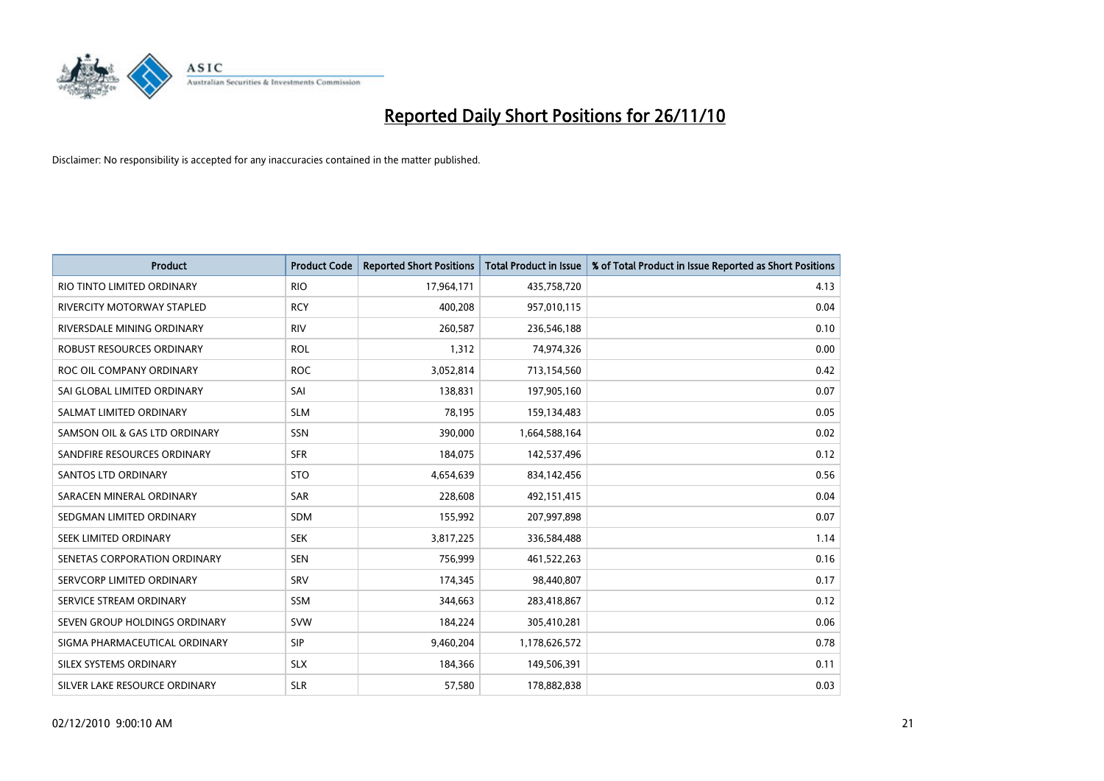

| <b>Product</b>                | <b>Product Code</b> | <b>Reported Short Positions</b> | Total Product in Issue | % of Total Product in Issue Reported as Short Positions |
|-------------------------------|---------------------|---------------------------------|------------------------|---------------------------------------------------------|
| RIO TINTO LIMITED ORDINARY    | <b>RIO</b>          | 17,964,171                      | 435,758,720            | 4.13                                                    |
| RIVERCITY MOTORWAY STAPLED    | <b>RCY</b>          | 400,208                         | 957,010,115            | 0.04                                                    |
| RIVERSDALE MINING ORDINARY    | <b>RIV</b>          | 260,587                         | 236,546,188            | 0.10                                                    |
| ROBUST RESOURCES ORDINARY     | <b>ROL</b>          | 1,312                           | 74,974,326             | 0.00                                                    |
| ROC OIL COMPANY ORDINARY      | <b>ROC</b>          | 3,052,814                       | 713,154,560            | 0.42                                                    |
| SAI GLOBAL LIMITED ORDINARY   | SAI                 | 138,831                         | 197,905,160            | 0.07                                                    |
| SALMAT LIMITED ORDINARY       | <b>SLM</b>          | 78,195                          | 159,134,483            | 0.05                                                    |
| SAMSON OIL & GAS LTD ORDINARY | SSN                 | 390,000                         | 1,664,588,164          | 0.02                                                    |
| SANDFIRE RESOURCES ORDINARY   | <b>SFR</b>          | 184,075                         | 142,537,496            | 0.12                                                    |
| <b>SANTOS LTD ORDINARY</b>    | <b>STO</b>          | 4,654,639                       | 834,142,456            | 0.56                                                    |
| SARACEN MINERAL ORDINARY      | <b>SAR</b>          | 228,608                         | 492,151,415            | 0.04                                                    |
| SEDGMAN LIMITED ORDINARY      | <b>SDM</b>          | 155,992                         | 207,997,898            | 0.07                                                    |
| SEEK LIMITED ORDINARY         | <b>SEK</b>          | 3,817,225                       | 336,584,488            | 1.14                                                    |
| SENETAS CORPORATION ORDINARY  | <b>SEN</b>          | 756,999                         | 461,522,263            | 0.16                                                    |
| SERVCORP LIMITED ORDINARY     | SRV                 | 174,345                         | 98,440,807             | 0.17                                                    |
| SERVICE STREAM ORDINARY       | <b>SSM</b>          | 344,663                         | 283,418,867            | 0.12                                                    |
| SEVEN GROUP HOLDINGS ORDINARY | <b>SVW</b>          | 184,224                         | 305,410,281            | 0.06                                                    |
| SIGMA PHARMACEUTICAL ORDINARY | SIP                 | 9,460,204                       | 1,178,626,572          | 0.78                                                    |
| SILEX SYSTEMS ORDINARY        | <b>SLX</b>          | 184,366                         | 149,506,391            | 0.11                                                    |
| SILVER LAKE RESOURCE ORDINARY | <b>SLR</b>          | 57,580                          | 178,882,838            | 0.03                                                    |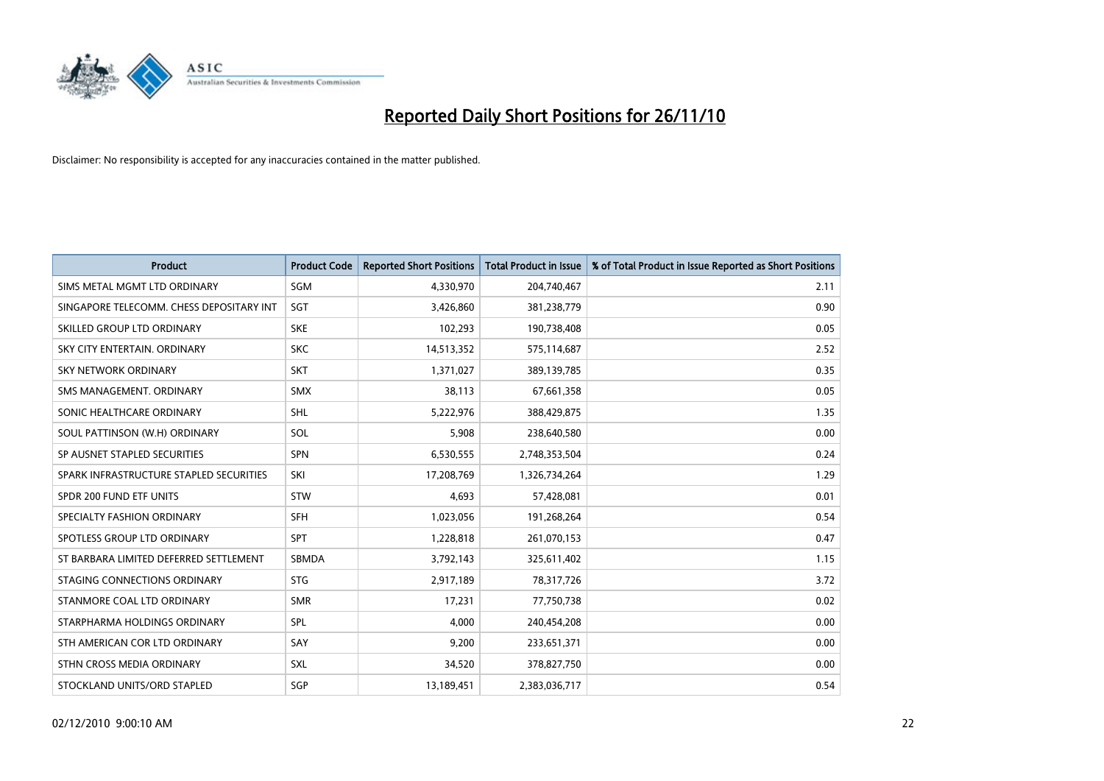

| <b>Product</b>                           | <b>Product Code</b> | <b>Reported Short Positions</b> | <b>Total Product in Issue</b> | % of Total Product in Issue Reported as Short Positions |
|------------------------------------------|---------------------|---------------------------------|-------------------------------|---------------------------------------------------------|
| SIMS METAL MGMT LTD ORDINARY             | SGM                 | 4,330,970                       | 204,740,467                   | 2.11                                                    |
| SINGAPORE TELECOMM. CHESS DEPOSITARY INT | SGT                 | 3,426,860                       | 381,238,779                   | 0.90                                                    |
| SKILLED GROUP LTD ORDINARY               | <b>SKE</b>          | 102,293                         | 190,738,408                   | 0.05                                                    |
| SKY CITY ENTERTAIN. ORDINARY             | <b>SKC</b>          | 14,513,352                      | 575,114,687                   | 2.52                                                    |
| <b>SKY NETWORK ORDINARY</b>              | <b>SKT</b>          | 1,371,027                       | 389,139,785                   | 0.35                                                    |
| SMS MANAGEMENT, ORDINARY                 | <b>SMX</b>          | 38,113                          | 67,661,358                    | 0.05                                                    |
| SONIC HEALTHCARE ORDINARY                | <b>SHL</b>          | 5,222,976                       | 388,429,875                   | 1.35                                                    |
| SOUL PATTINSON (W.H) ORDINARY            | SOL                 | 5,908                           | 238,640,580                   | 0.00                                                    |
| SP AUSNET STAPLED SECURITIES             | <b>SPN</b>          | 6,530,555                       | 2,748,353,504                 | 0.24                                                    |
| SPARK INFRASTRUCTURE STAPLED SECURITIES  | SKI                 | 17,208,769                      | 1,326,734,264                 | 1.29                                                    |
| SPDR 200 FUND ETF UNITS                  | STW                 | 4,693                           | 57,428,081                    | 0.01                                                    |
| SPECIALTY FASHION ORDINARY               | <b>SFH</b>          | 1,023,056                       | 191,268,264                   | 0.54                                                    |
| SPOTLESS GROUP LTD ORDINARY              | <b>SPT</b>          | 1,228,818                       | 261,070,153                   | 0.47                                                    |
| ST BARBARA LIMITED DEFERRED SETTLEMENT   | <b>SBMDA</b>        | 3,792,143                       | 325,611,402                   | 1.15                                                    |
| STAGING CONNECTIONS ORDINARY             | <b>STG</b>          | 2,917,189                       | 78,317,726                    | 3.72                                                    |
| STANMORE COAL LTD ORDINARY               | <b>SMR</b>          | 17,231                          | 77,750,738                    | 0.02                                                    |
| STARPHARMA HOLDINGS ORDINARY             | SPL                 | 4,000                           | 240,454,208                   | 0.00                                                    |
| STH AMERICAN COR LTD ORDINARY            | SAY                 | 9,200                           | 233,651,371                   | 0.00                                                    |
| STHN CROSS MEDIA ORDINARY                | <b>SXL</b>          | 34,520                          | 378,827,750                   | 0.00                                                    |
| STOCKLAND UNITS/ORD STAPLED              | SGP                 | 13,189,451                      | 2,383,036,717                 | 0.54                                                    |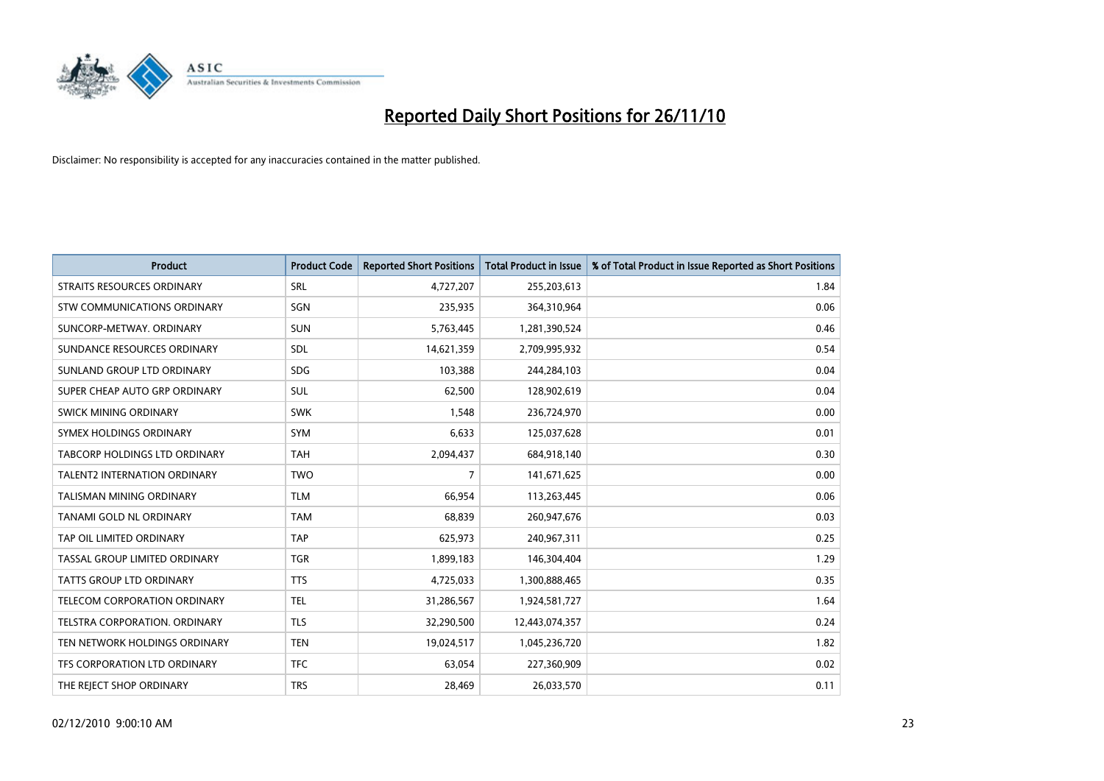

| <b>Product</b>                      | <b>Product Code</b> | <b>Reported Short Positions</b> | <b>Total Product in Issue</b> | % of Total Product in Issue Reported as Short Positions |
|-------------------------------------|---------------------|---------------------------------|-------------------------------|---------------------------------------------------------|
| STRAITS RESOURCES ORDINARY          | SRL                 | 4,727,207                       | 255,203,613                   | 1.84                                                    |
| STW COMMUNICATIONS ORDINARY         | SGN                 | 235,935                         | 364,310,964                   | 0.06                                                    |
| SUNCORP-METWAY, ORDINARY            | <b>SUN</b>          | 5,763,445                       | 1,281,390,524                 | 0.46                                                    |
| SUNDANCE RESOURCES ORDINARY         | <b>SDL</b>          | 14,621,359                      | 2,709,995,932                 | 0.54                                                    |
| SUNLAND GROUP LTD ORDINARY          | <b>SDG</b>          | 103,388                         | 244,284,103                   | 0.04                                                    |
| SUPER CHEAP AUTO GRP ORDINARY       | SUL                 | 62,500                          | 128,902,619                   | 0.04                                                    |
| SWICK MINING ORDINARY               | <b>SWK</b>          | 1,548                           | 236,724,970                   | 0.00                                                    |
| SYMEX HOLDINGS ORDINARY             | <b>SYM</b>          | 6,633                           | 125,037,628                   | 0.01                                                    |
| TABCORP HOLDINGS LTD ORDINARY       | <b>TAH</b>          | 2,094,437                       | 684,918,140                   | 0.30                                                    |
| <b>TALENT2 INTERNATION ORDINARY</b> | <b>TWO</b>          | $\overline{7}$                  | 141,671,625                   | 0.00                                                    |
| TALISMAN MINING ORDINARY            | <b>TLM</b>          | 66,954                          | 113,263,445                   | 0.06                                                    |
| TANAMI GOLD NL ORDINARY             | <b>TAM</b>          | 68,839                          | 260,947,676                   | 0.03                                                    |
| TAP OIL LIMITED ORDINARY            | <b>TAP</b>          | 625,973                         | 240,967,311                   | 0.25                                                    |
| TASSAL GROUP LIMITED ORDINARY       | <b>TGR</b>          | 1,899,183                       | 146,304,404                   | 1.29                                                    |
| TATTS GROUP LTD ORDINARY            | <b>TTS</b>          | 4,725,033                       | 1,300,888,465                 | 0.35                                                    |
| TELECOM CORPORATION ORDINARY        | <b>TEL</b>          | 31,286,567                      | 1,924,581,727                 | 1.64                                                    |
| TELSTRA CORPORATION. ORDINARY       | <b>TLS</b>          | 32,290,500                      | 12,443,074,357                | 0.24                                                    |
| TEN NETWORK HOLDINGS ORDINARY       | <b>TEN</b>          | 19,024,517                      | 1,045,236,720                 | 1.82                                                    |
| TFS CORPORATION LTD ORDINARY        | <b>TFC</b>          | 63,054                          | 227,360,909                   | 0.02                                                    |
| THE REJECT SHOP ORDINARY            | <b>TRS</b>          | 28,469                          | 26,033,570                    | 0.11                                                    |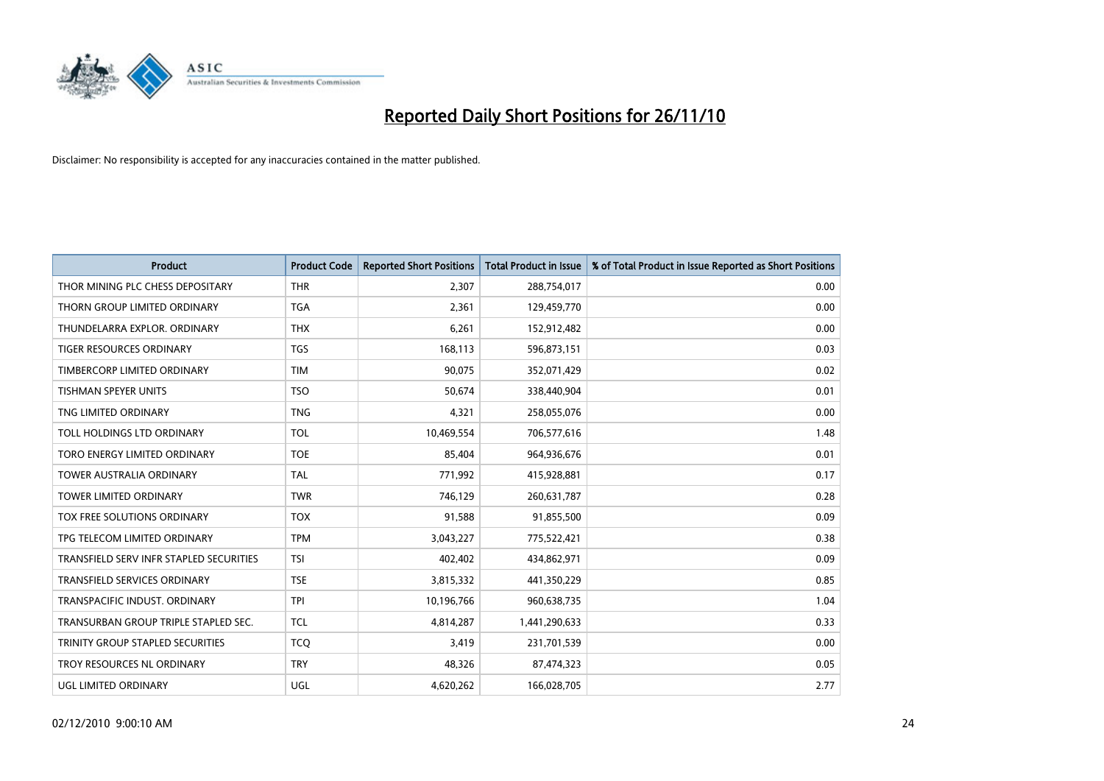

| <b>Product</b>                          | <b>Product Code</b> | <b>Reported Short Positions</b> | Total Product in Issue | % of Total Product in Issue Reported as Short Positions |
|-----------------------------------------|---------------------|---------------------------------|------------------------|---------------------------------------------------------|
| THOR MINING PLC CHESS DEPOSITARY        | <b>THR</b>          | 2,307                           | 288,754,017            | 0.00                                                    |
| THORN GROUP LIMITED ORDINARY            | <b>TGA</b>          | 2,361                           | 129,459,770            | 0.00                                                    |
| THUNDELARRA EXPLOR, ORDINARY            | <b>THX</b>          | 6,261                           | 152,912,482            | 0.00                                                    |
| TIGER RESOURCES ORDINARY                | <b>TGS</b>          | 168,113                         | 596,873,151            | 0.03                                                    |
| TIMBERCORP LIMITED ORDINARY             | <b>TIM</b>          | 90,075                          | 352,071,429            | 0.02                                                    |
| <b>TISHMAN SPEYER UNITS</b>             | <b>TSO</b>          | 50.674                          | 338,440,904            | 0.01                                                    |
| TNG LIMITED ORDINARY                    | <b>TNG</b>          | 4,321                           | 258,055,076            | 0.00                                                    |
| TOLL HOLDINGS LTD ORDINARY              | <b>TOL</b>          | 10,469,554                      | 706,577,616            | 1.48                                                    |
| TORO ENERGY LIMITED ORDINARY            | <b>TOE</b>          | 85,404                          | 964,936,676            | 0.01                                                    |
| <b>TOWER AUSTRALIA ORDINARY</b>         | <b>TAL</b>          | 771,992                         | 415,928,881            | 0.17                                                    |
| TOWER LIMITED ORDINARY                  | <b>TWR</b>          | 746,129                         | 260,631,787            | 0.28                                                    |
| <b>TOX FREE SOLUTIONS ORDINARY</b>      | <b>TOX</b>          | 91,588                          | 91,855,500             | 0.09                                                    |
| TPG TELECOM LIMITED ORDINARY            | <b>TPM</b>          | 3,043,227                       | 775,522,421            | 0.38                                                    |
| TRANSFIELD SERV INFR STAPLED SECURITIES | <b>TSI</b>          | 402,402                         | 434,862,971            | 0.09                                                    |
| <b>TRANSFIELD SERVICES ORDINARY</b>     | <b>TSE</b>          | 3,815,332                       | 441,350,229            | 0.85                                                    |
| TRANSPACIFIC INDUST. ORDINARY           | <b>TPI</b>          | 10,196,766                      | 960,638,735            | 1.04                                                    |
| TRANSURBAN GROUP TRIPLE STAPLED SEC.    | <b>TCL</b>          | 4,814,287                       | 1,441,290,633          | 0.33                                                    |
| TRINITY GROUP STAPLED SECURITIES        | <b>TCQ</b>          | 3,419                           | 231,701,539            | 0.00                                                    |
| TROY RESOURCES NL ORDINARY              | <b>TRY</b>          | 48,326                          | 87,474,323             | 0.05                                                    |
| <b>UGL LIMITED ORDINARY</b>             | UGL                 | 4,620,262                       | 166,028,705            | 2.77                                                    |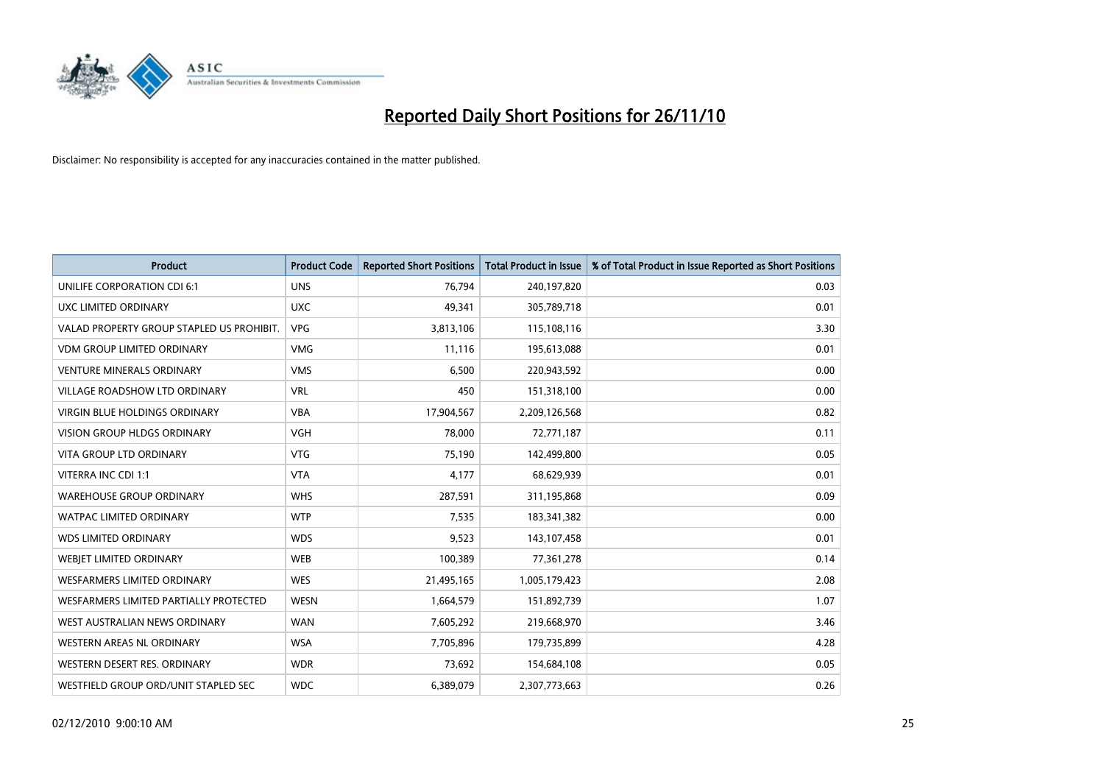

| <b>Product</b>                            | <b>Product Code</b> | <b>Reported Short Positions</b> | <b>Total Product in Issue</b> | % of Total Product in Issue Reported as Short Positions |
|-------------------------------------------|---------------------|---------------------------------|-------------------------------|---------------------------------------------------------|
| UNILIFE CORPORATION CDI 6:1               | <b>UNS</b>          | 76,794                          | 240,197,820                   | 0.03                                                    |
| UXC LIMITED ORDINARY                      | <b>UXC</b>          | 49,341                          | 305,789,718                   | 0.01                                                    |
| VALAD PROPERTY GROUP STAPLED US PROHIBIT. | <b>VPG</b>          | 3,813,106                       | 115,108,116                   | 3.30                                                    |
| <b>VDM GROUP LIMITED ORDINARY</b>         | <b>VMG</b>          | 11,116                          | 195,613,088                   | 0.01                                                    |
| <b>VENTURE MINERALS ORDINARY</b>          | <b>VMS</b>          | 6,500                           | 220,943,592                   | 0.00                                                    |
| <b>VILLAGE ROADSHOW LTD ORDINARY</b>      | <b>VRL</b>          | 450                             | 151,318,100                   | 0.00                                                    |
| <b>VIRGIN BLUE HOLDINGS ORDINARY</b>      | <b>VBA</b>          | 17,904,567                      | 2,209,126,568                 | 0.82                                                    |
| <b>VISION GROUP HLDGS ORDINARY</b>        | <b>VGH</b>          | 78,000                          | 72,771,187                    | 0.11                                                    |
| VITA GROUP LTD ORDINARY                   | <b>VTG</b>          | 75,190                          | 142,499,800                   | 0.05                                                    |
| VITERRA INC CDI 1:1                       | <b>VTA</b>          | 4,177                           | 68,629,939                    | 0.01                                                    |
| <b>WAREHOUSE GROUP ORDINARY</b>           | <b>WHS</b>          | 287,591                         | 311,195,868                   | 0.09                                                    |
| <b>WATPAC LIMITED ORDINARY</b>            | <b>WTP</b>          | 7,535                           | 183,341,382                   | 0.00                                                    |
| <b>WDS LIMITED ORDINARY</b>               | <b>WDS</b>          | 9,523                           | 143,107,458                   | 0.01                                                    |
| WEBIET LIMITED ORDINARY                   | <b>WEB</b>          | 100,389                         | 77,361,278                    | 0.14                                                    |
| <b>WESFARMERS LIMITED ORDINARY</b>        | <b>WES</b>          | 21,495,165                      | 1,005,179,423                 | 2.08                                                    |
| WESFARMERS LIMITED PARTIALLY PROTECTED    | <b>WESN</b>         | 1,664,579                       | 151,892,739                   | 1.07                                                    |
| WEST AUSTRALIAN NEWS ORDINARY             | <b>WAN</b>          | 7,605,292                       | 219,668,970                   | 3.46                                                    |
| WESTERN AREAS NL ORDINARY                 | <b>WSA</b>          | 7,705,896                       | 179,735,899                   | 4.28                                                    |
| WESTERN DESERT RES. ORDINARY              | <b>WDR</b>          | 73,692                          | 154,684,108                   | 0.05                                                    |
| WESTFIELD GROUP ORD/UNIT STAPLED SEC      | <b>WDC</b>          | 6,389,079                       | 2,307,773,663                 | 0.26                                                    |